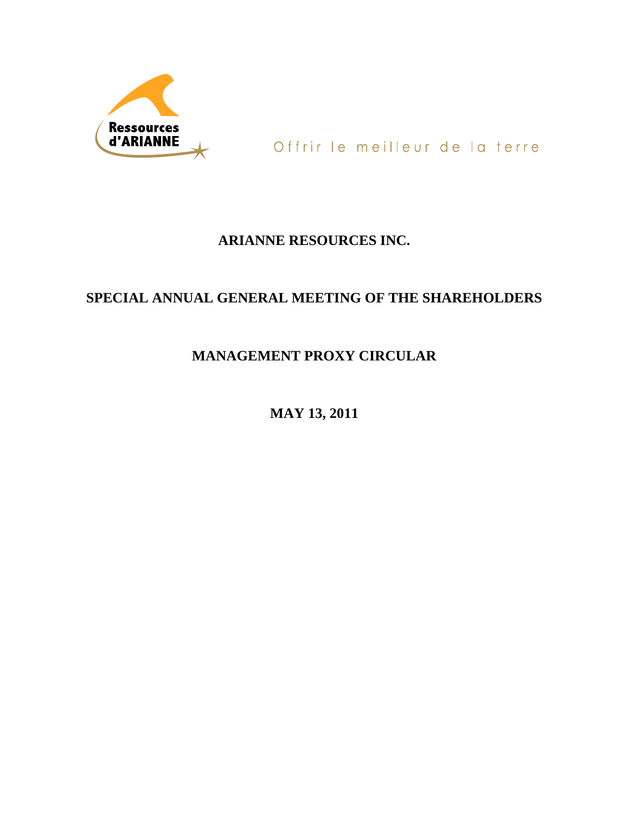

Offrir le meilleur de la terre

# **ARIANNE RESOURCES INC.**

# **SPECIAL ANNUAL GENERAL MEETING OF THE SHAREHOLDERS**

# **MANAGEMENT PROXY CIRCULAR**

**MAY 13, 2011**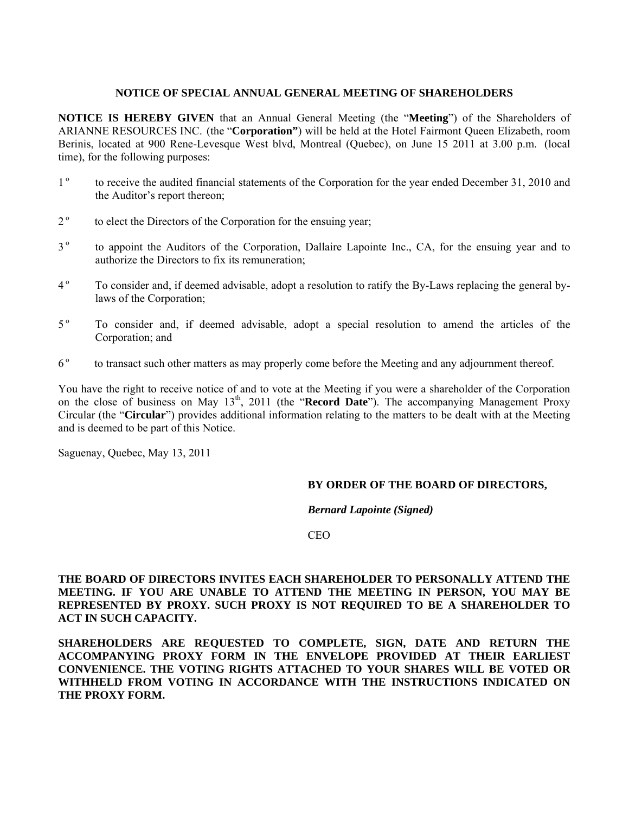# **NOTICE OF SPECIAL ANNUAL GENERAL MEETING OF SHAREHOLDERS**

**NOTICE IS HEREBY GIVEN** that an Annual General Meeting (the "**Meeting**") of the Shareholders of ARIANNE RESOURCES INC. (the "**Corporation"**) will be held at the Hotel Fairmont Queen Elizabeth, room Berinis, located at 900 Rene-Levesque West blvd, Montreal (Quebec), on June 15 2011 at 3.00 p.m. (local time), for the following purposes:

- 1<sup>o</sup> to receive the audited financial statements of the Corporation for the year ended December 31, 2010 and the Auditor's report thereon;
- $2^{\circ}$  to elect the Directors of the Corporation for the ensuing year;
- 3<sup>o</sup> to appoint the Auditors of the Corporation, Dallaire Lapointe Inc., CA, for the ensuing year and to authorize the Directors to fix its remuneration;
- <sup>4</sup> To consider and, if deemed advisable, adopt a resolution to ratify the By-Laws replacing the general bylaws of the Corporation;
- 5<sup>°</sup> To consider and, if deemed advisable, adopt a special resolution to amend the articles of the Corporation; and
- 6<sup>°</sup> to transact such other matters as may properly come before the Meeting and any adjournment thereof.

You have the right to receive notice of and to vote at the Meeting if you were a shareholder of the Corporation on the close of business on May 13th, 2011 (the "**Record Date**"). The accompanying Management Proxy Circular (the "**Circular**") provides additional information relating to the matters to be dealt with at the Meeting and is deemed to be part of this Notice.

Saguenay, Quebec, May 13, 2011

# **BY ORDER OF THE BOARD OF DIRECTORS,**

*Bernard Lapointe (Signed)* 

CEO

**THE BOARD OF DIRECTORS INVITES EACH SHAREHOLDER TO PERSONALLY ATTEND THE MEETING. IF YOU ARE UNABLE TO ATTEND THE MEETING IN PERSON, YOU MAY BE REPRESENTED BY PROXY. SUCH PROXY IS NOT REQUIRED TO BE A SHAREHOLDER TO ACT IN SUCH CAPACITY.** 

**SHAREHOLDERS ARE REQUESTED TO COMPLETE, SIGN, DATE AND RETURN THE ACCOMPANYING PROXY FORM IN THE ENVELOPE PROVIDED AT THEIR EARLIEST CONVENIENCE. THE VOTING RIGHTS ATTACHED TO YOUR SHARES WILL BE VOTED OR WITHHELD FROM VOTING IN ACCORDANCE WITH THE INSTRUCTIONS INDICATED ON THE PROXY FORM.**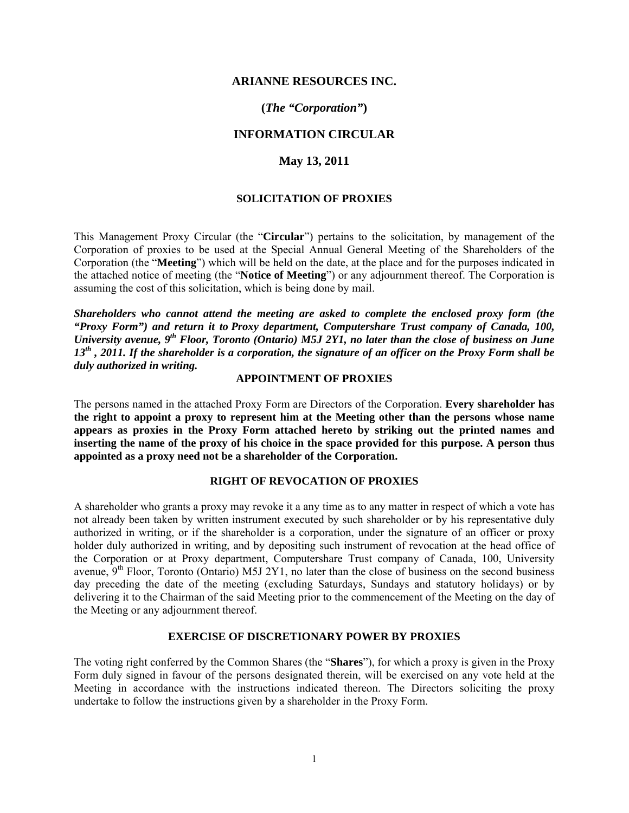# **ARIANNE RESOURCES INC.**

# **(***The "Corporation"***)**

# **INFORMATION CIRCULAR**

# **May 13, 2011**

# **SOLICITATION OF PROXIES**

This Management Proxy Circular (the "**Circular**") pertains to the solicitation, by management of the Corporation of proxies to be used at the Special Annual General Meeting of the Shareholders of the Corporation (the "**Meeting**") which will be held on the date, at the place and for the purposes indicated in the attached notice of meeting (the "**Notice of Meeting**") or any adjournment thereof. The Corporation is assuming the cost of this solicitation, which is being done by mail.

*Shareholders who cannot attend the meeting are asked to complete the enclosed proxy form (the "Proxy Form") and return it to Proxy department, Computershare Trust company of Canada, 100, University avenue, 9th Floor, Toronto (Ontario) M5J 2Y1, no later than the close of business on June 13th , 2011. If the shareholder is a corporation, the signature of an officer on the Proxy Form shall be duly authorized in writing.* 

# **APPOINTMENT OF PROXIES**

The persons named in the attached Proxy Form are Directors of the Corporation. **Every shareholder has the right to appoint a proxy to represent him at the Meeting other than the persons whose name appears as proxies in the Proxy Form attached hereto by striking out the printed names and inserting the name of the proxy of his choice in the space provided for this purpose. A person thus appointed as a proxy need not be a shareholder of the Corporation.**

# **RIGHT OF REVOCATION OF PROXIES**

A shareholder who grants a proxy may revoke it a any time as to any matter in respect of which a vote has not already been taken by written instrument executed by such shareholder or by his representative duly authorized in writing, or if the shareholder is a corporation, under the signature of an officer or proxy holder duly authorized in writing, and by depositing such instrument of revocation at the head office of the Corporation or at Proxy department, Computershare Trust company of Canada, 100, University avenue,  $9<sup>th</sup>$  Floor, Toronto (Ontario) M5J 2Y1, no later than the close of business on the second business day preceding the date of the meeting (excluding Saturdays, Sundays and statutory holidays) or by delivering it to the Chairman of the said Meeting prior to the commencement of the Meeting on the day of the Meeting or any adjournment thereof.

### **EXERCISE OF DISCRETIONARY POWER BY PROXIES**

The voting right conferred by the Common Shares (the "**Shares**"), for which a proxy is given in the Proxy Form duly signed in favour of the persons designated therein, will be exercised on any vote held at the Meeting in accordance with the instructions indicated thereon. The Directors soliciting the proxy undertake to follow the instructions given by a shareholder in the Proxy Form.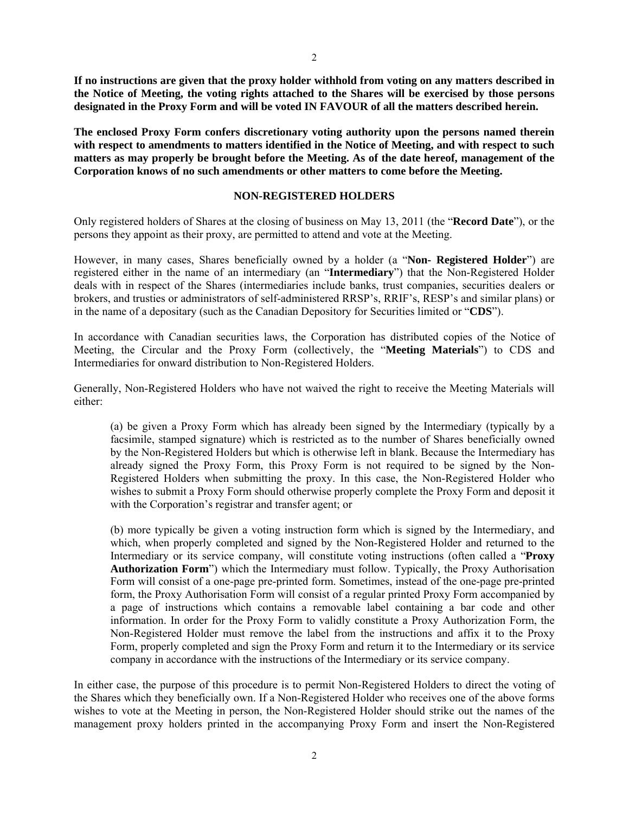**If no instructions are given that the proxy holder withhold from voting on any matters described in the Notice of Meeting, the voting rights attached to the Shares will be exercised by those persons designated in the Proxy Form and will be voted IN FAVOUR of all the matters described herein.** 

**The enclosed Proxy Form confers discretionary voting authority upon the persons named therein with respect to amendments to matters identified in the Notice of Meeting, and with respect to such matters as may properly be brought before the Meeting. As of the date hereof, management of the Corporation knows of no such amendments or other matters to come before the Meeting.** 

#### **NON-REGISTERED HOLDERS**

Only registered holders of Shares at the closing of business on May 13, 2011 (the "**Record Date**"), or the persons they appoint as their proxy, are permitted to attend and vote at the Meeting.

However, in many cases, Shares beneficially owned by a holder (a "**Non- Registered Holder**") are registered either in the name of an intermediary (an "**Intermediary**") that the Non-Registered Holder deals with in respect of the Shares (intermediaries include banks, trust companies, securities dealers or brokers, and trusties or administrators of self-administered RRSP's, RRIF's, RESP's and similar plans) or in the name of a depositary (such as the Canadian Depository for Securities limited or "**CDS**").

In accordance with Canadian securities laws, the Corporation has distributed copies of the Notice of Meeting, the Circular and the Proxy Form (collectively, the "**Meeting Materials**") to CDS and Intermediaries for onward distribution to Non-Registered Holders.

Generally, Non-Registered Holders who have not waived the right to receive the Meeting Materials will either:

(a) be given a Proxy Form which has already been signed by the Intermediary (typically by a facsimile, stamped signature) which is restricted as to the number of Shares beneficially owned by the Non-Registered Holders but which is otherwise left in blank. Because the Intermediary has already signed the Proxy Form, this Proxy Form is not required to be signed by the Non-Registered Holders when submitting the proxy. In this case, the Non-Registered Holder who wishes to submit a Proxy Form should otherwise properly complete the Proxy Form and deposit it with the Corporation's registrar and transfer agent; or

(b) more typically be given a voting instruction form which is signed by the Intermediary, and which, when properly completed and signed by the Non-Registered Holder and returned to the Intermediary or its service company, will constitute voting instructions (often called a "**Proxy Authorization Form**") which the Intermediary must follow. Typically, the Proxy Authorisation Form will consist of a one-page pre-printed form. Sometimes, instead of the one-page pre-printed form, the Proxy Authorisation Form will consist of a regular printed Proxy Form accompanied by a page of instructions which contains a removable label containing a bar code and other information. In order for the Proxy Form to validly constitute a Proxy Authorization Form, the Non-Registered Holder must remove the label from the instructions and affix it to the Proxy Form, properly completed and sign the Proxy Form and return it to the Intermediary or its service company in accordance with the instructions of the Intermediary or its service company.

In either case, the purpose of this procedure is to permit Non-Registered Holders to direct the voting of the Shares which they beneficially own. If a Non-Registered Holder who receives one of the above forms wishes to vote at the Meeting in person, the Non-Registered Holder should strike out the names of the management proxy holders printed in the accompanying Proxy Form and insert the Non-Registered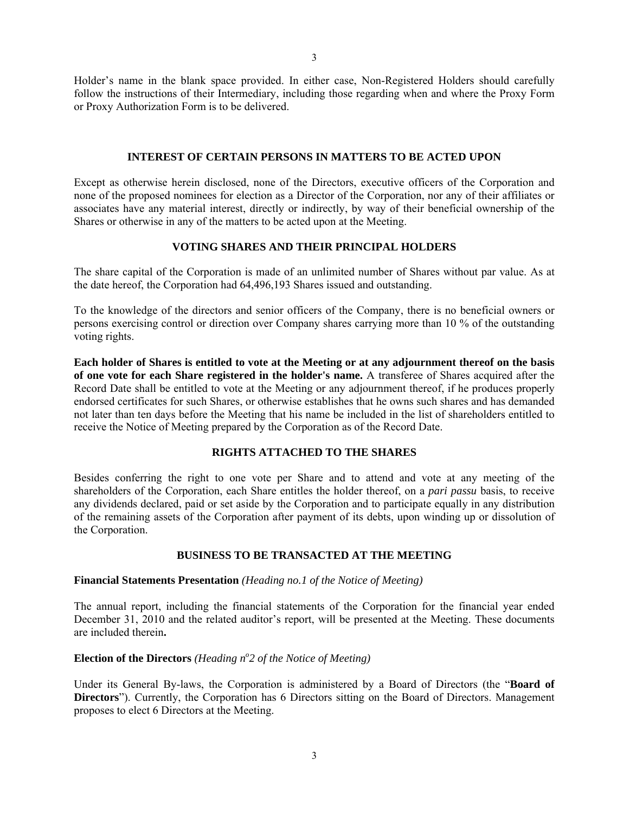Holder's name in the blank space provided. In either case, Non-Registered Holders should carefully follow the instructions of their Intermediary, including those regarding when and where the Proxy Form or Proxy Authorization Form is to be delivered.

### **INTEREST OF CERTAIN PERSONS IN MATTERS TO BE ACTED UPON**

Except as otherwise herein disclosed, none of the Directors, executive officers of the Corporation and none of the proposed nominees for election as a Director of the Corporation, nor any of their affiliates or associates have any material interest, directly or indirectly, by way of their beneficial ownership of the Shares or otherwise in any of the matters to be acted upon at the Meeting.

### **VOTING SHARES AND THEIR PRINCIPAL HOLDERS**

The share capital of the Corporation is made of an unlimited number of Shares without par value. As at the date hereof, the Corporation had 64,496,193 Shares issued and outstanding.

To the knowledge of the directors and senior officers of the Company, there is no beneficial owners or persons exercising control or direction over Company shares carrying more than 10 % of the outstanding voting rights.

**Each holder of Shares is entitled to vote at the Meeting or at any adjournment thereof on the basis of one vote for each Share registered in the holder's name.** A transferee of Shares acquired after the Record Date shall be entitled to vote at the Meeting or any adjournment thereof, if he produces properly endorsed certificates for such Shares, or otherwise establishes that he owns such shares and has demanded not later than ten days before the Meeting that his name be included in the list of shareholders entitled to receive the Notice of Meeting prepared by the Corporation as of the Record Date.

## **RIGHTS ATTACHED TO THE SHARES**

Besides conferring the right to one vote per Share and to attend and vote at any meeting of the shareholders of the Corporation, each Share entitles the holder thereof, on a *pari passu* basis, to receive any dividends declared, paid or set aside by the Corporation and to participate equally in any distribution of the remaining assets of the Corporation after payment of its debts, upon winding up or dissolution of the Corporation.

# **BUSINESS TO BE TRANSACTED AT THE MEETING**

### **Financial Statements Presentation** *(Heading no.1 of the Notice of Meeting)*

The annual report, including the financial statements of the Corporation for the financial year ended December 31, 2010 and the related auditor's report, will be presented at the Meeting. These documents are included therein**.** 

# **Election of the Directors** (Heading n°2 of the Notice of Meeting)

Under its General By-laws, the Corporation is administered by a Board of Directors (the "**Board of Directors**"). Currently, the Corporation has 6 Directors sitting on the Board of Directors. Management proposes to elect 6 Directors at the Meeting.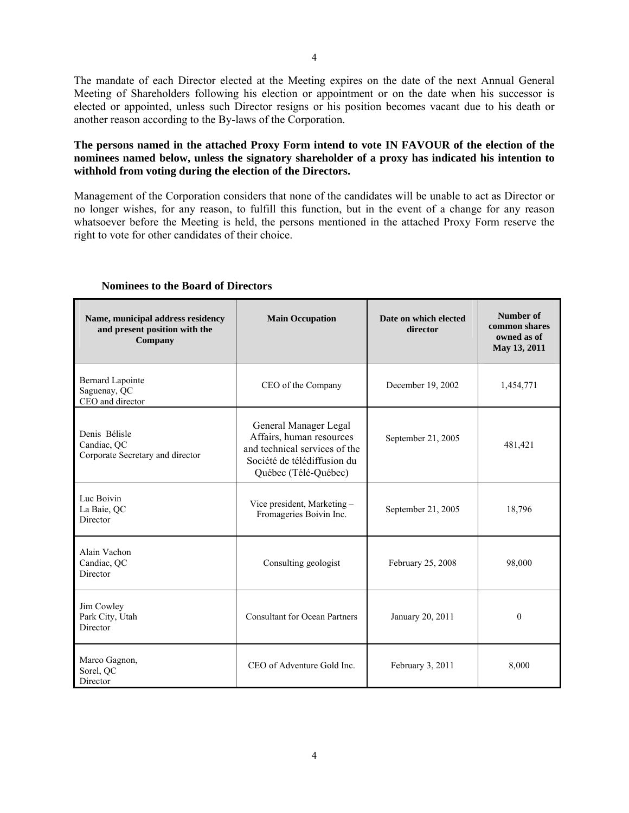The mandate of each Director elected at the Meeting expires on the date of the next Annual General Meeting of Shareholders following his election or appointment or on the date when his successor is elected or appointed, unless such Director resigns or his position becomes vacant due to his death or another reason according to the By-laws of the Corporation.

# **The persons named in the attached Proxy Form intend to vote IN FAVOUR of the election of the nominees named below, unless the signatory shareholder of a proxy has indicated his intention to withhold from voting during the election of the Directors.**

Management of the Corporation considers that none of the candidates will be unable to act as Director or no longer wishes, for any reason, to fulfill this function, but in the event of a change for any reason whatsoever before the Meeting is held, the persons mentioned in the attached Proxy Form reserve the right to vote for other candidates of their choice.

| Name, municipal address residency<br>and present position with the<br>Company | <b>Main Occupation</b>                                                                                                                    | Date on which elected<br>director | Number of<br>common shares<br>owned as of<br>May 13, 2011 |
|-------------------------------------------------------------------------------|-------------------------------------------------------------------------------------------------------------------------------------------|-----------------------------------|-----------------------------------------------------------|
| <b>Bernard Lapointe</b><br>Saguenay, QC<br>CEO and director                   | CEO of the Company                                                                                                                        | December 19, 2002                 | 1,454,771                                                 |
| Denis Bélisle<br>Candiac, QC<br>Corporate Secretary and director              | General Manager Legal<br>Affairs, human resources<br>and technical services of the<br>Société de télédiffusion du<br>Québec (Télé-Québec) | September 21, 2005                | 481,421                                                   |
| Luc Boivin<br>La Baie, QC<br>Director                                         | Vice president, Marketing -<br>Fromageries Boivin Inc.                                                                                    | September 21, 2005                | 18,796                                                    |
| Alain Vachon<br>Candiac, OC<br>Director                                       | Consulting geologist                                                                                                                      | February 25, 2008                 | 98,000                                                    |
| Jim Cowley<br>Park City, Utah<br>Director                                     | <b>Consultant for Ocean Partners</b>                                                                                                      | January 20, 2011                  | $\theta$                                                  |
| Marco Gagnon,<br>Sorel, QC<br>Director                                        | CEO of Adventure Gold Inc.                                                                                                                | February 3, 2011                  | 8,000                                                     |

# **Nominees to the Board of Directors**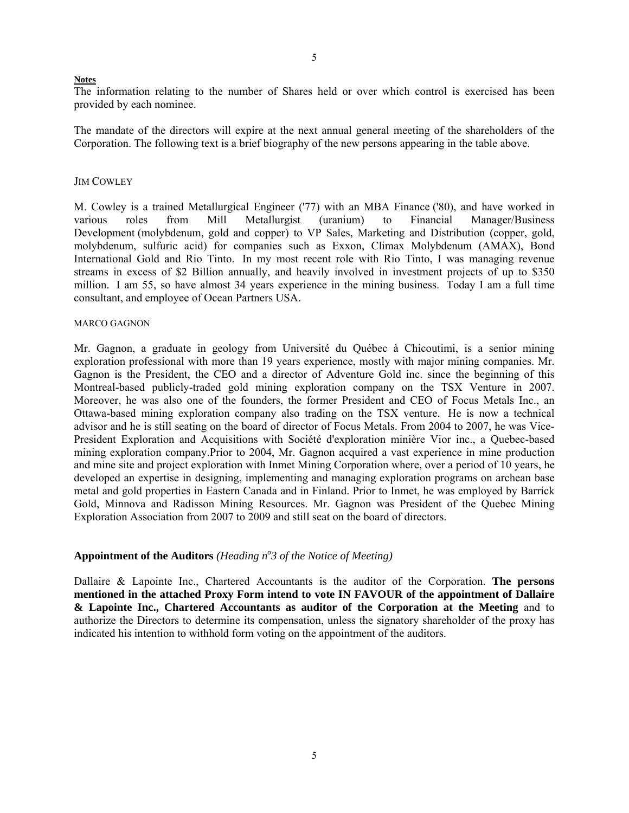#### **Notes**

The information relating to the number of Shares held or over which control is exercised has been provided by each nominee.

The mandate of the directors will expire at the next annual general meeting of the shareholders of the Corporation. The following text is a brief biography of the new persons appearing in the table above.

### **JIM COWLEY**

M. Cowley is a trained Metallurgical Engineer ('77) with an MBA Finance ('80), and have worked in various roles from Mill Metallurgist (uranium) to Financial Manager/Business Development (molybdenum, gold and copper) to VP Sales, Marketing and Distribution (copper, gold, molybdenum, sulfuric acid) for companies such as Exxon, Climax Molybdenum (AMAX), Bond International Gold and Rio Tinto. In my most recent role with Rio Tinto, I was managing revenue streams in excess of \$2 Billion annually, and heavily involved in investment projects of up to \$350 million. I am 55, so have almost 34 years experience in the mining business. Today I am a full time consultant, and employee of Ocean Partners USA.

#### MARCO GAGNON

Mr. Gagnon, a graduate in geology from Université du Québec à Chicoutimi, is a senior mining exploration professional with more than 19 years experience, mostly with major mining companies. Mr. Gagnon is the President, the CEO and a director of Adventure Gold inc. since the beginning of this Montreal-based publicly-traded gold mining exploration company on the TSX Venture in 2007. Moreover, he was also one of the founders, the former President and CEO of Focus Metals Inc., an Ottawa-based mining exploration company also trading on the TSX venture. He is now a technical advisor and he is still seating on the board of director of Focus Metals. From 2004 to 2007, he was Vice-President Exploration and Acquisitions with Société d'exploration minière Vior inc., a Quebec-based mining exploration company.Prior to 2004, Mr. Gagnon acquired a vast experience in mine production and mine site and project exploration with Inmet Mining Corporation where, over a period of 10 years, he developed an expertise in designing, implementing and managing exploration programs on archean base metal and gold properties in Eastern Canada and in Finland. Prior to Inmet, he was employed by Barrick Gold, Minnova and Radisson Mining Resources. Mr. Gagnon was President of the Quebec Mining Exploration Association from 2007 to 2009 and still seat on the board of directors.

# Appointment of the Auditors *(Heading n<sup>o</sup>3 of the Notice of Meeting)*

Dallaire & Lapointe Inc., Chartered Accountants is the auditor of the Corporation. **The persons mentioned in the attached Proxy Form intend to vote IN FAVOUR of the appointment of Dallaire & Lapointe Inc., Chartered Accountants as auditor of the Corporation at the Meeting** and to authorize the Directors to determine its compensation, unless the signatory shareholder of the proxy has indicated his intention to withhold form voting on the appointment of the auditors.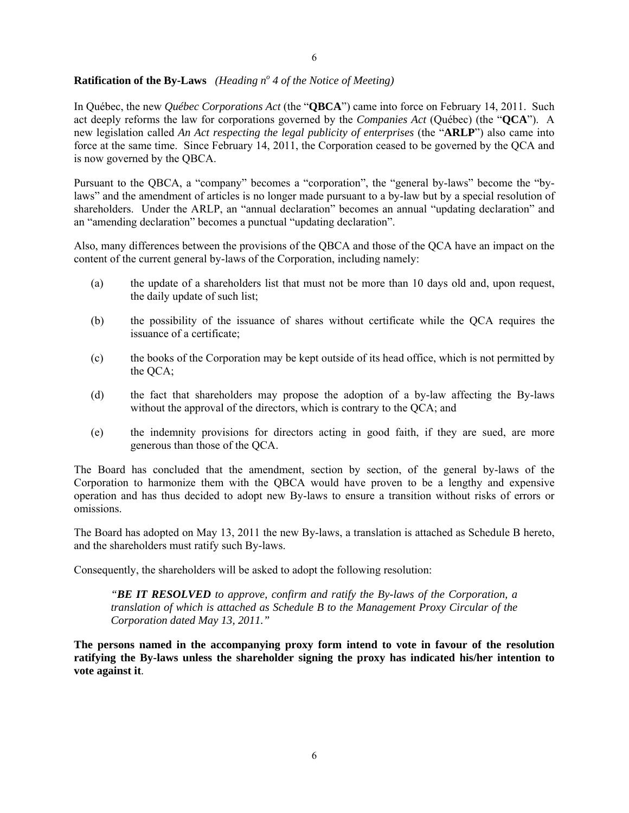# **Ratification of the By-Laws** (*Heading n<sup>o</sup>* 4 of the Notice of Meeting)

In Québec, the new *Québec Corporations Act* (the "**QBCA**") came into force on February 14, 2011. Such act deeply reforms the law for corporations governed by the *Companies Act* (Québec) (the "**QCA**"). A new legislation called *An Act respecting the legal publicity of enterprises* (the "**ARLP**") also came into force at the same time. Since February 14, 2011, the Corporation ceased to be governed by the QCA and is now governed by the QBCA.

Pursuant to the QBCA, a "company" becomes a "corporation", the "general by-laws" become the "bylaws" and the amendment of articles is no longer made pursuant to a by-law but by a special resolution of shareholders. Under the ARLP, an "annual declaration" becomes an annual "updating declaration" and an "amending declaration" becomes a punctual "updating declaration".

Also, many differences between the provisions of the QBCA and those of the QCA have an impact on the content of the current general by-laws of the Corporation, including namely:

- (a) the update of a shareholders list that must not be more than 10 days old and, upon request, the daily update of such list;
- (b) the possibility of the issuance of shares without certificate while the QCA requires the issuance of a certificate;
- (c) the books of the Corporation may be kept outside of its head office, which is not permitted by the QCA;
- (d) the fact that shareholders may propose the adoption of a by-law affecting the By-laws without the approval of the directors, which is contrary to the QCA; and
- (e) the indemnity provisions for directors acting in good faith, if they are sued, are more generous than those of the QCA.

The Board has concluded that the amendment, section by section, of the general by-laws of the Corporation to harmonize them with the QBCA would have proven to be a lengthy and expensive operation and has thus decided to adopt new By-laws to ensure a transition without risks of errors or omissions.

The Board has adopted on May 13, 2011 the new By-laws, a translation is attached as Schedule B hereto, and the shareholders must ratify such By-laws.

Consequently, the shareholders will be asked to adopt the following resolution:

*"BE IT RESOLVED to approve, confirm and ratify the By-laws of the Corporation, a translation of which is attached as Schedule B to the Management Proxy Circular of the Corporation dated May 13, 2011."* 

**The persons named in the accompanying proxy form intend to vote in favour of the resolution ratifying the By-laws unless the shareholder signing the proxy has indicated his/her intention to vote against it**.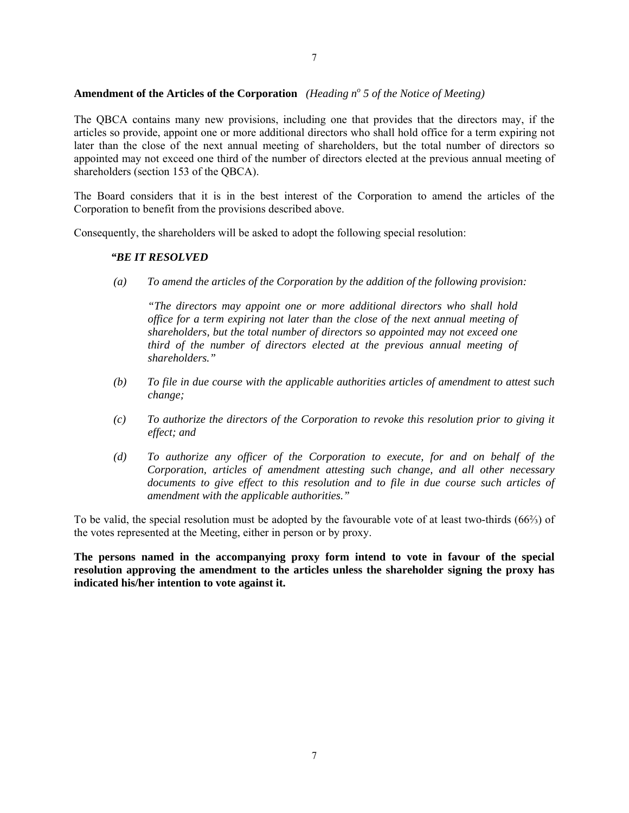# **Amendment of the Articles of the Corporation** *(Heading n<sup>o</sup> 5 of the Notice of Meeting)*

The QBCA contains many new provisions, including one that provides that the directors may, if the articles so provide, appoint one or more additional directors who shall hold office for a term expiring not later than the close of the next annual meeting of shareholders, but the total number of directors so appointed may not exceed one third of the number of directors elected at the previous annual meeting of shareholders (section 153 of the QBCA).

The Board considers that it is in the best interest of the Corporation to amend the articles of the Corporation to benefit from the provisions described above.

Consequently, the shareholders will be asked to adopt the following special resolution:

# *"BE IT RESOLVED*

*(a) To amend the articles of the Corporation by the addition of the following provision:* 

*"The directors may appoint one or more additional directors who shall hold office for a term expiring not later than the close of the next annual meeting of shareholders, but the total number of directors so appointed may not exceed one third of the number of directors elected at the previous annual meeting of shareholders."* 

- *(b) To file in due course with the applicable authorities articles of amendment to attest such change;*
- *(c) To authorize the directors of the Corporation to revoke this resolution prior to giving it effect; and*
- *(d) To authorize any officer of the Corporation to execute, for and on behalf of the Corporation, articles of amendment attesting such change, and all other necessary documents to give effect to this resolution and to file in due course such articles of amendment with the applicable authorities."*

To be valid, the special resolution must be adopted by the favourable vote of at least two-thirds (66⅔) of the votes represented at the Meeting, either in person or by proxy.

**The persons named in the accompanying proxy form intend to vote in favour of the special resolution approving the amendment to the articles unless the shareholder signing the proxy has indicated his/her intention to vote against it.**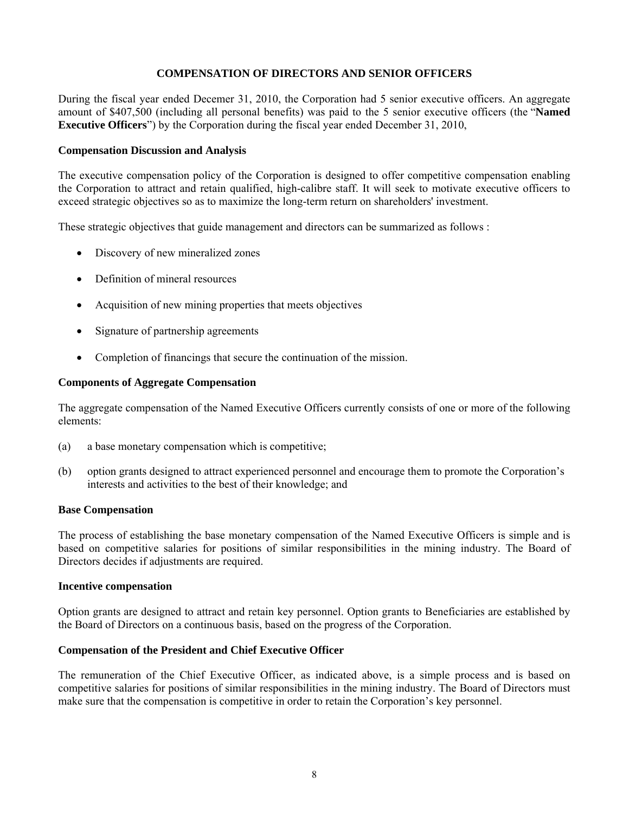# **COMPENSATION OF DIRECTORS AND SENIOR OFFICERS**

During the fiscal year ended Decemer 31, 2010, the Corporation had 5 senior executive officers. An aggregate amount of \$407,500 (including all personal benefits) was paid to the 5 senior executive officers (the "**Named Executive Officers**") by the Corporation during the fiscal year ended December 31, 2010,

# **Compensation Discussion and Analysis**

The executive compensation policy of the Corporation is designed to offer competitive compensation enabling the Corporation to attract and retain qualified, high-calibre staff. It will seek to motivate executive officers to exceed strategic objectives so as to maximize the long-term return on shareholders' investment.

These strategic objectives that guide management and directors can be summarized as follows :

- Discovery of new mineralized zones
- Definition of mineral resources
- Acquisition of new mining properties that meets objectives
- Signature of partnership agreements
- Completion of financings that secure the continuation of the mission.

# **Components of Aggregate Compensation**

The aggregate compensation of the Named Executive Officers currently consists of one or more of the following elements:

- (a) a base monetary compensation which is competitive;
- (b) option grants designed to attract experienced personnel and encourage them to promote the Corporation's interests and activities to the best of their knowledge; and

### **Base Compensation**

The process of establishing the base monetary compensation of the Named Executive Officers is simple and is based on competitive salaries for positions of similar responsibilities in the mining industry. The Board of Directors decides if adjustments are required.

### **Incentive compensation**

Option grants are designed to attract and retain key personnel. Option grants to Beneficiaries are established by the Board of Directors on a continuous basis, based on the progress of the Corporation.

# **Compensation of the President and Chief Executive Officer**

The remuneration of the Chief Executive Officer, as indicated above, is a simple process and is based on competitive salaries for positions of similar responsibilities in the mining industry. The Board of Directors must make sure that the compensation is competitive in order to retain the Corporation's key personnel.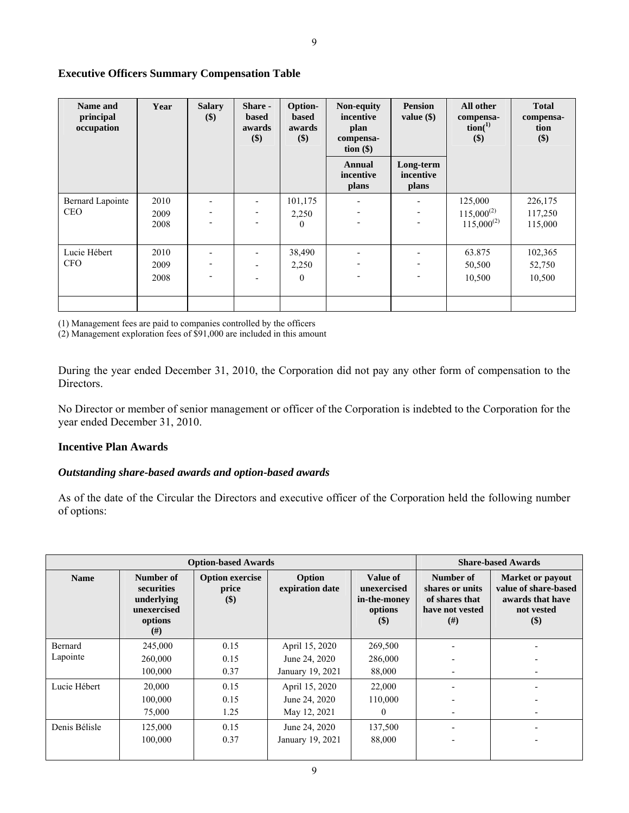# **Executive Officers Summary Compensation Table**

| Name and<br>principal<br>occupation   | Year                 | <b>Salary</b><br>\$) | Share -<br><b>based</b><br>awards<br>$(\$)$ | <b>Option-</b><br><b>based</b><br>awards<br>\$) | Non-equity<br>incentive<br>plan<br>compensa-<br>tion $(\$)$ | <b>Pension</b><br>value $(\$)$  | All other<br>compensa-<br>$\text{tion}^{(1)}$<br>$(\$)$ | <b>Total</b><br>compensa-<br>tion<br>\$) |
|---------------------------------------|----------------------|----------------------|---------------------------------------------|-------------------------------------------------|-------------------------------------------------------------|---------------------------------|---------------------------------------------------------|------------------------------------------|
|                                       |                      |                      |                                             |                                                 | Annual<br>incentive<br>plans                                | Long-term<br>incentive<br>plans |                                                         |                                          |
| <b>Bernard Lapointe</b><br><b>CEO</b> | 2010<br>2009<br>2008 |                      |                                             | 101,175<br>2,250<br>$\Omega$                    | $\overline{\phantom{a}}$                                    |                                 | 125,000<br>$115,000^{(2)}$<br>$115,000^{(2)}$           | 226,175<br>117,250<br>115,000            |
| Lucie Hébert<br><b>CFO</b>            | 2010<br>2009<br>2008 |                      |                                             | 38,490<br>2,250<br>$\theta$                     | $\blacksquare$                                              |                                 | 63.875<br>50,500<br>10,500                              | 102,365<br>52,750<br>10,500              |
|                                       |                      |                      |                                             |                                                 |                                                             |                                 |                                                         |                                          |

(1) Management fees are paid to companies controlled by the officers

(2) Management exploration fees of \$91,000 are included in this amount

During the year ended December 31, 2010, the Corporation did not pay any other form of compensation to the Directors.

No Director or member of senior management or officer of the Corporation is indebted to the Corporation for the year ended December 31, 2010.

# **Incentive Plan Awards**

# *Outstanding share-based awards and option-based awards*

As of the date of the Circular the Directors and executive officer of the Corporation held the following number of options:

| <b>Option-based Awards</b> |                                                                        |                                        |                                 |                                                                                 | <b>Share-based Awards</b>                                                 |                                                                                            |
|----------------------------|------------------------------------------------------------------------|----------------------------------------|---------------------------------|---------------------------------------------------------------------------------|---------------------------------------------------------------------------|--------------------------------------------------------------------------------------------|
| <b>Name</b>                | Number of<br>securities<br>underlying<br>unexercised<br>options<br>(#) | <b>Option exercise</b><br>price<br>\$) | Option<br>expiration date       | Value of<br>unexercised<br>in-the-money<br>options<br>$\left( \text{\$}\right)$ | Number of<br>shares or units<br>of shares that<br>have not vested<br>(# ) | <b>Market or payout</b><br>value of share-based<br>awards that have<br>not vested<br>$($)$ |
| Bernard<br>Lapointe        | 245,000<br>260,000                                                     | 0.15<br>0.15                           | April 15, 2020<br>June 24, 2020 | 269,500<br>286,000                                                              |                                                                           |                                                                                            |
|                            | 100,000                                                                | 0.37                                   | January 19, 2021                | 88,000                                                                          | $\overline{a}$                                                            |                                                                                            |
| Lucie Hébert               | 20,000                                                                 | 0.15                                   | April 15, 2020                  | 22,000                                                                          |                                                                           |                                                                                            |
|                            | 100,000                                                                | 0.15                                   | June 24, 2020                   | 110,000                                                                         |                                                                           |                                                                                            |
|                            | 75,000                                                                 | 1.25                                   | May 12, 2021                    | 0                                                                               |                                                                           |                                                                                            |
| Denis Bélisle              | 125,000                                                                | 0.15                                   | June 24, 2020                   | 137,500                                                                         |                                                                           |                                                                                            |
|                            | 100,000                                                                | 0.37                                   | January 19, 2021                | 88,000                                                                          |                                                                           |                                                                                            |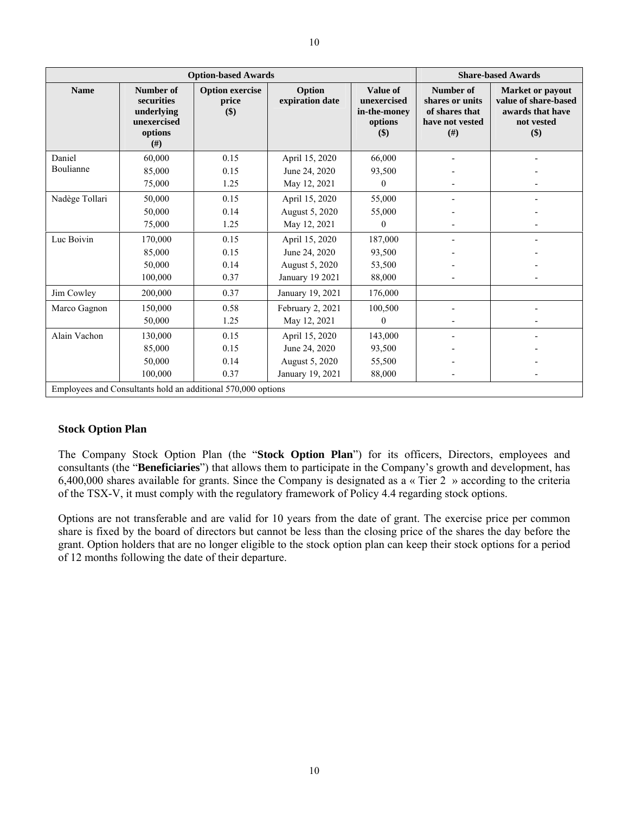|                | <b>Option-based Awards</b>                                                |                                        |                           |                                                           | <b>Share-based Awards</b>                                                |                                                                                          |
|----------------|---------------------------------------------------------------------------|----------------------------------------|---------------------------|-----------------------------------------------------------|--------------------------------------------------------------------------|------------------------------------------------------------------------------------------|
| <b>Name</b>    | Number of<br>securities<br>underlying<br>unexercised<br>options<br>$(\#)$ | <b>Option exercise</b><br>price<br>\$) | Option<br>expiration date | Value of<br>unexercised<br>in-the-money<br>options<br>\$) | Number of<br>shares or units<br>of shares that<br>have not vested<br>(H) | <b>Market or payout</b><br>value of share-based<br>awards that have<br>not vested<br>\$) |
| Daniel         | 60,000                                                                    | 0.15                                   | April 15, 2020            | 66,000                                                    |                                                                          |                                                                                          |
| Boulianne      | 85,000                                                                    | 0.15                                   | June 24, 2020             | 93,500                                                    |                                                                          |                                                                                          |
|                | 75,000                                                                    | 1.25                                   | May 12, 2021              | $\Omega$                                                  |                                                                          |                                                                                          |
| Nadège Tollari | 50,000                                                                    | 0.15                                   | April 15, 2020            | 55,000                                                    |                                                                          |                                                                                          |
|                | 50,000                                                                    | 0.14                                   | August 5, 2020            | 55,000                                                    |                                                                          |                                                                                          |
|                | 75,000                                                                    | 1.25                                   | May 12, 2021              | $\Omega$                                                  |                                                                          |                                                                                          |
| Luc Boivin     | 170,000                                                                   | 0.15                                   | April 15, 2020            | 187,000                                                   |                                                                          |                                                                                          |
|                | 85,000                                                                    | 0.15                                   | June 24, 2020             | 93,500                                                    |                                                                          |                                                                                          |
|                | 50,000                                                                    | 0.14                                   | August 5, 2020            | 53,500                                                    |                                                                          |                                                                                          |
|                | 100,000                                                                   | 0.37                                   | <b>January 19 2021</b>    | 88,000                                                    |                                                                          |                                                                                          |
| Jim Cowley     | 200,000                                                                   | 0.37                                   | January 19, 2021          | 176,000                                                   |                                                                          |                                                                                          |
| Marco Gagnon   | 150,000                                                                   | 0.58                                   | February 2, 2021          | 100,500                                                   |                                                                          |                                                                                          |
|                | 50,000                                                                    | 1.25                                   | May 12, 2021              | $\Omega$                                                  |                                                                          |                                                                                          |
| Alain Vachon   | 130,000                                                                   | 0.15                                   | April 15, 2020            | 143,000                                                   |                                                                          |                                                                                          |
|                | 85,000                                                                    | 0.15                                   | June 24, 2020             | 93,500                                                    |                                                                          |                                                                                          |
|                | 50,000                                                                    | 0.14                                   | August 5, 2020            | 55,500                                                    |                                                                          |                                                                                          |
|                | 100,000                                                                   | 0.37                                   | January 19, 2021          | 88,000                                                    |                                                                          |                                                                                          |
|                | Employees and Consultants hold an additional 570,000 options              |                                        |                           |                                                           |                                                                          |                                                                                          |

# **Stock Option Plan**

The Company Stock Option Plan (the "**Stock Option Plan**") for its officers, Directors, employees and consultants (the "**Beneficiaries**") that allows them to participate in the Company's growth and development, has 6,400,000 shares available for grants. Since the Company is designated as a « Tier 2 » according to the criteria of the TSX-V, it must comply with the regulatory framework of Policy 4.4 regarding stock options.

Options are not transferable and are valid for 10 years from the date of grant. The exercise price per common share is fixed by the board of directors but cannot be less than the closing price of the shares the day before the grant. Option holders that are no longer eligible to the stock option plan can keep their stock options for a period of 12 months following the date of their departure.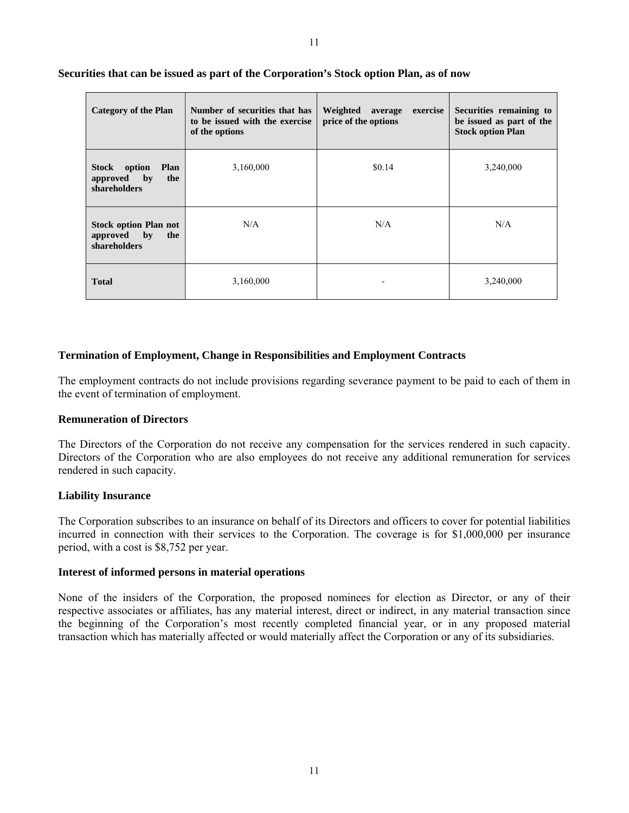| <b>Category of the Plan</b>                                                     | Number of securities that has<br>to be issued with the exercise<br>of the options | Weighted average<br>exercise<br>price of the options | Securities remaining to<br>be issued as part of the<br><b>Stock option Plan</b> |
|---------------------------------------------------------------------------------|-----------------------------------------------------------------------------------|------------------------------------------------------|---------------------------------------------------------------------------------|
| Stock<br>option<br>Plan<br>the<br>by<br>approved<br>shareholders                | 3,160,000                                                                         | \$0.14                                               | 3,240,000                                                                       |
| <b>Stock option Plan not</b><br>$\mathbf{b}$<br>the<br>approved<br>shareholders | N/A                                                                               | N/A                                                  | N/A                                                                             |
| <b>Total</b>                                                                    | 3,160,000                                                                         |                                                      | 3,240,000                                                                       |

# **Securities that can be issued as part of the Corporation's Stock option Plan, as of now**

# **Termination of Employment, Change in Responsibilities and Employment Contracts**

The employment contracts do not include provisions regarding severance payment to be paid to each of them in the event of termination of employment.

# **Remuneration of Directors**

The Directors of the Corporation do not receive any compensation for the services rendered in such capacity. Directors of the Corporation who are also employees do not receive any additional remuneration for services rendered in such capacity.

#### **Liability Insurance**

The Corporation subscribes to an insurance on behalf of its Directors and officers to cover for potential liabilities incurred in connection with their services to the Corporation. The coverage is for \$1,000,000 per insurance period, with a cost is \$8,752 per year.

#### **Interest of informed persons in material operations**

None of the insiders of the Corporation, the proposed nominees for election as Director, or any of their respective associates or affiliates, has any material interest, direct or indirect, in any material transaction since the beginning of the Corporation's most recently completed financial year, or in any proposed material transaction which has materially affected or would materially affect the Corporation or any of its subsidiaries.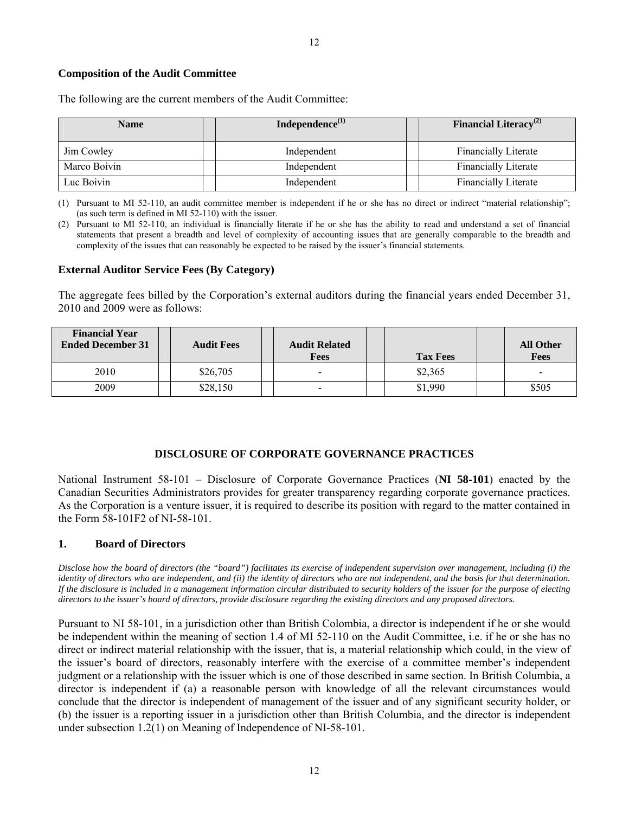# **Composition of the Audit Committee**

The following are the current members of the Audit Committee:

| <b>Name</b>  | Independence $^{(1)}$ | <b>Financial Literacy</b> <sup>(2)</sup> |
|--------------|-----------------------|------------------------------------------|
| Jim Cowley   | Independent           | <b>Financially Literate</b>              |
| Marco Boivin | Independent           | <b>Financially Literate</b>              |
| Luc Boivin   | Independent           | <b>Financially Literate</b>              |

(1) Pursuant to MI 52-110, an audit committee member is independent if he or she has no direct or indirect "material relationship"; (as such term is defined in MI 52-110) with the issuer.

(2) Pursuant to MI 52-110, an individual is financially literate if he or she has the ability to read and understand a set of financial statements that present a breadth and level of complexity of accounting issues that are generally comparable to the breadth and complexity of the issues that can reasonably be expected to be raised by the issuer's financial statements.

#### **External Auditor Service Fees (By Category)**

The aggregate fees billed by the Corporation's external auditors during the financial years ended December 31, 2010 and 2009 were as follows:

| <b>Financial Year</b><br><b>Ended December 31</b> | <b>Audit Fees</b> | <b>Audit Related</b><br>Fees | <b>Tax Fees</b> | <b>All Other</b><br><b>Fees</b> |
|---------------------------------------------------|-------------------|------------------------------|-----------------|---------------------------------|
| 2010                                              | \$26,705          | $\blacksquare$               | \$2,365         | $\overline{\phantom{0}}$        |
| 2009                                              | \$28,150          | $\overline{\phantom{0}}$     | \$1,990         | \$505                           |

# **DISCLOSURE OF CORPORATE GOVERNANCE PRACTICES**

National Instrument 58-101 – Disclosure of Corporate Governance Practices (**NI 58-101**) enacted by the Canadian Securities Administrators provides for greater transparency regarding corporate governance practices. As the Corporation is a venture issuer, it is required to describe its position with regard to the matter contained in the Form 58-101F2 of NI-58-101.

# **1. Board of Directors**

*Disclose how the board of directors (the "board") facilitates its exercise of independent supervision over management, including (i) the identity of directors who are independent, and (ii) the identity of directors who are not independent, and the basis for that determination. If the disclosure is included in a management information circular distributed to security holders of the issuer for the purpose of electing directors to the issuer's board of directors, provide disclosure regarding the existing directors and any proposed directors.* 

Pursuant to NI 58-101, in a jurisdiction other than British Colombia, a director is independent if he or she would be independent within the meaning of section 1.4 of MI 52-110 on the Audit Committee, i.e. if he or she has no direct or indirect material relationship with the issuer, that is, a material relationship which could, in the view of the issuer's board of directors, reasonably interfere with the exercise of a committee member's independent judgment or a relationship with the issuer which is one of those described in same section. In British Columbia, a director is independent if (a) a reasonable person with knowledge of all the relevant circumstances would conclude that the director is independent of management of the issuer and of any significant security holder, or (b) the issuer is a reporting issuer in a jurisdiction other than British Columbia, and the director is independent under subsection 1.2(1) on Meaning of Independence of NI-58-101.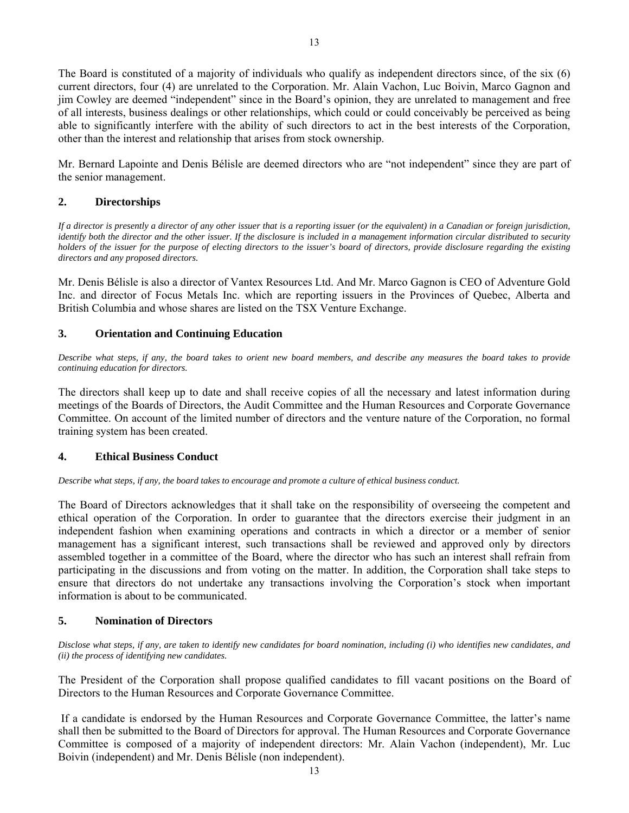The Board is constituted of a majority of individuals who qualify as independent directors since, of the six (6) current directors, four (4) are unrelated to the Corporation. Mr. Alain Vachon, Luc Boivin, Marco Gagnon and jim Cowley are deemed "independent" since in the Board's opinion, they are unrelated to management and free of all interests, business dealings or other relationships, which could or could conceivably be perceived as being able to significantly interfere with the ability of such directors to act in the best interests of the Corporation, other than the interest and relationship that arises from stock ownership.

Mr. Bernard Lapointe and Denis Bélisle are deemed directors who are "not independent" since they are part of the senior management.

# **2. Directorships**

*If a director is presently a director of any other issuer that is a reporting issuer (or the equivalent) in a Canadian or foreign jurisdiction, identify both the director and the other issuer. If the disclosure is included in a management information circular distributed to security holders of the issuer for the purpose of electing directors to the issuer's board of directors, provide disclosure regarding the existing directors and any proposed directors.* 

Mr. Denis Bélisle is also a director of Vantex Resources Ltd. And Mr. Marco Gagnon is CEO of Adventure Gold Inc. and director of Focus Metals Inc. which are reporting issuers in the Provinces of Quebec, Alberta and British Columbia and whose shares are listed on the TSX Venture Exchange.

# **3. Orientation and Continuing Education**

*Describe what steps, if any, the board takes to orient new board members, and describe any measures the board takes to provide continuing education for directors.*

The directors shall keep up to date and shall receive copies of all the necessary and latest information during meetings of the Boards of Directors, the Audit Committee and the Human Resources and Corporate Governance Committee. On account of the limited number of directors and the venture nature of the Corporation, no formal training system has been created.

# **4. Ethical Business Conduct**

*Describe what steps, if any, the board takes to encourage and promote a culture of ethical business conduct.*

The Board of Directors acknowledges that it shall take on the responsibility of overseeing the competent and ethical operation of the Corporation. In order to guarantee that the directors exercise their judgment in an independent fashion when examining operations and contracts in which a director or a member of senior management has a significant interest, such transactions shall be reviewed and approved only by directors assembled together in a committee of the Board, where the director who has such an interest shall refrain from participating in the discussions and from voting on the matter. In addition, the Corporation shall take steps to ensure that directors do not undertake any transactions involving the Corporation's stock when important information is about to be communicated.

# **5. Nomination of Directors**

*Disclose what steps, if any, are taken to identify new candidates for board nomination, including (i) who identifies new candidates, and (ii) the process of identifying new candidates.*

The President of the Corporation shall propose qualified candidates to fill vacant positions on the Board of Directors to the Human Resources and Corporate Governance Committee.

 If a candidate is endorsed by the Human Resources and Corporate Governance Committee, the latter's name shall then be submitted to the Board of Directors for approval. The Human Resources and Corporate Governance Committee is composed of a majority of independent directors: Mr. Alain Vachon (independent), Mr. Luc Boivin (independent) and Mr. Denis Bélisle (non independent).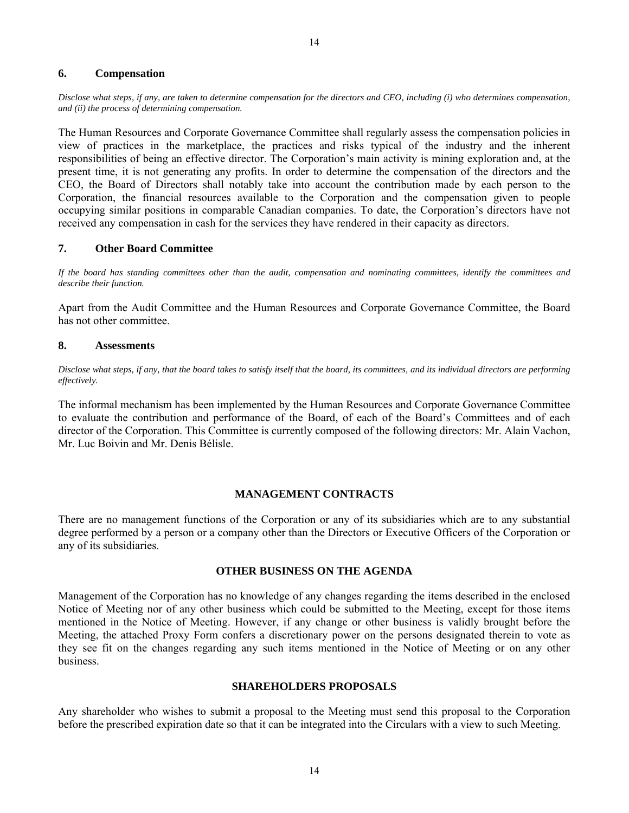# **6. Compensation**

*Disclose what steps, if any, are taken to determine compensation for the directors and CEO, including (i) who determines compensation, and (ii) the process of determining compensation.*

The Human Resources and Corporate Governance Committee shall regularly assess the compensation policies in view of practices in the marketplace, the practices and risks typical of the industry and the inherent responsibilities of being an effective director. The Corporation's main activity is mining exploration and, at the present time, it is not generating any profits. In order to determine the compensation of the directors and the CEO, the Board of Directors shall notably take into account the contribution made by each person to the Corporation, the financial resources available to the Corporation and the compensation given to people occupying similar positions in comparable Canadian companies. To date, the Corporation's directors have not received any compensation in cash for the services they have rendered in their capacity as directors.

# **7. Other Board Committee**

*If the board has standing committees other than the audit, compensation and nominating committees, identify the committees and describe their function.*

Apart from the Audit Committee and the Human Resources and Corporate Governance Committee, the Board has not other committee.

# **8. Assessments**

*Disclose what steps, if any, that the board takes to satisfy itself that the board, its committees, and its individual directors are performing effectively.*

The informal mechanism has been implemented by the Human Resources and Corporate Governance Committee to evaluate the contribution and performance of the Board, of each of the Board's Committees and of each director of the Corporation. This Committee is currently composed of the following directors: Mr. Alain Vachon, Mr. Luc Boivin and Mr. Denis Bélisle.

### **MANAGEMENT CONTRACTS**

There are no management functions of the Corporation or any of its subsidiaries which are to any substantial degree performed by a person or a company other than the Directors or Executive Officers of the Corporation or any of its subsidiaries.

# **OTHER BUSINESS ON THE AGENDA**

Management of the Corporation has no knowledge of any changes regarding the items described in the enclosed Notice of Meeting nor of any other business which could be submitted to the Meeting, except for those items mentioned in the Notice of Meeting. However, if any change or other business is validly brought before the Meeting, the attached Proxy Form confers a discretionary power on the persons designated therein to vote as they see fit on the changes regarding any such items mentioned in the Notice of Meeting or on any other business.

### **SHAREHOLDERS PROPOSALS**

Any shareholder who wishes to submit a proposal to the Meeting must send this proposal to the Corporation before the prescribed expiration date so that it can be integrated into the Circulars with a view to such Meeting.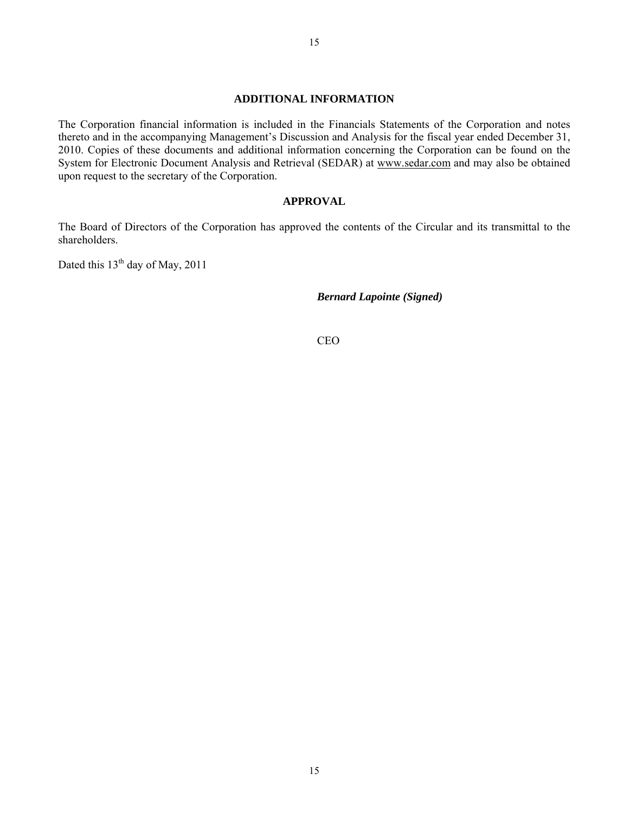#### **ADDITIONAL INFORMATION**

The Corporation financial information is included in the Financials Statements of the Corporation and notes thereto and in the accompanying Management's Discussion and Analysis for the fiscal year ended December 31, 2010. Copies of these documents and additional information concerning the Corporation can be found on the System for Electronic Document Analysis and Retrieval (SEDAR) at www.sedar.com and may also be obtained upon request to the secretary of the Corporation.

# **APPROVAL**

The Board of Directors of the Corporation has approved the contents of the Circular and its transmittal to the shareholders.

Dated this  $13<sup>th</sup>$  day of May, 2011

*Bernard Lapointe (Signed)* 

CEO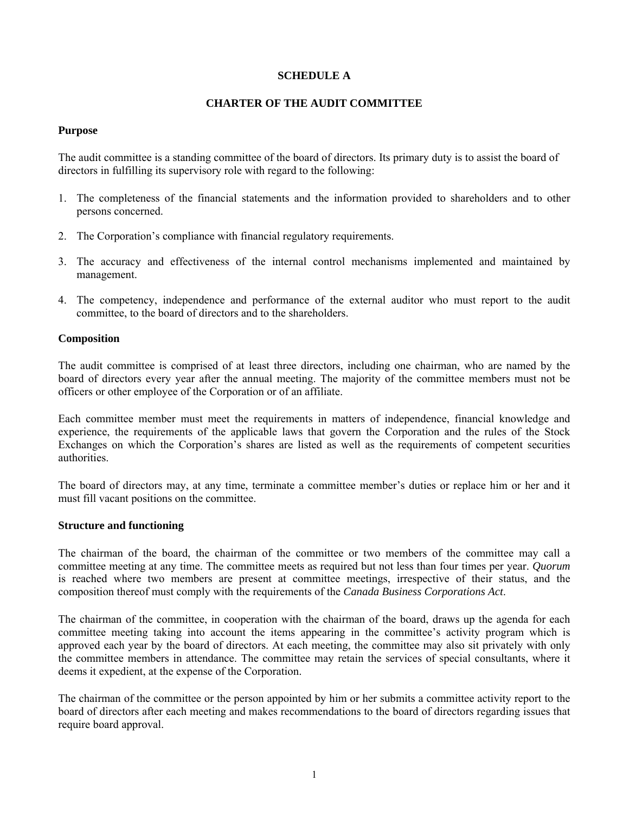# **SCHEDULE A**

# **CHARTER OF THE AUDIT COMMITTEE**

# **Purpose**

The audit committee is a standing committee of the board of directors. Its primary duty is to assist the board of directors in fulfilling its supervisory role with regard to the following:

- 1. The completeness of the financial statements and the information provided to shareholders and to other persons concerned.
- 2. The Corporation's compliance with financial regulatory requirements.
- 3. The accuracy and effectiveness of the internal control mechanisms implemented and maintained by management.
- 4. The competency, independence and performance of the external auditor who must report to the audit committee, to the board of directors and to the shareholders.

# **Composition**

The audit committee is comprised of at least three directors, including one chairman, who are named by the board of directors every year after the annual meeting. The majority of the committee members must not be officers or other employee of the Corporation or of an affiliate.

Each committee member must meet the requirements in matters of independence, financial knowledge and experience, the requirements of the applicable laws that govern the Corporation and the rules of the Stock Exchanges on which the Corporation's shares are listed as well as the requirements of competent securities authorities.

The board of directors may, at any time, terminate a committee member's duties or replace him or her and it must fill vacant positions on the committee.

### **Structure and functioning**

The chairman of the board, the chairman of the committee or two members of the committee may call a committee meeting at any time. The committee meets as required but not less than four times per year. *Quorum* is reached where two members are present at committee meetings, irrespective of their status, and the composition thereof must comply with the requirements of the *Canada Business Corporations Act*.

The chairman of the committee, in cooperation with the chairman of the board, draws up the agenda for each committee meeting taking into account the items appearing in the committee's activity program which is approved each year by the board of directors. At each meeting, the committee may also sit privately with only the committee members in attendance. The committee may retain the services of special consultants, where it deems it expedient, at the expense of the Corporation.

The chairman of the committee or the person appointed by him or her submits a committee activity report to the board of directors after each meeting and makes recommendations to the board of directors regarding issues that require board approval.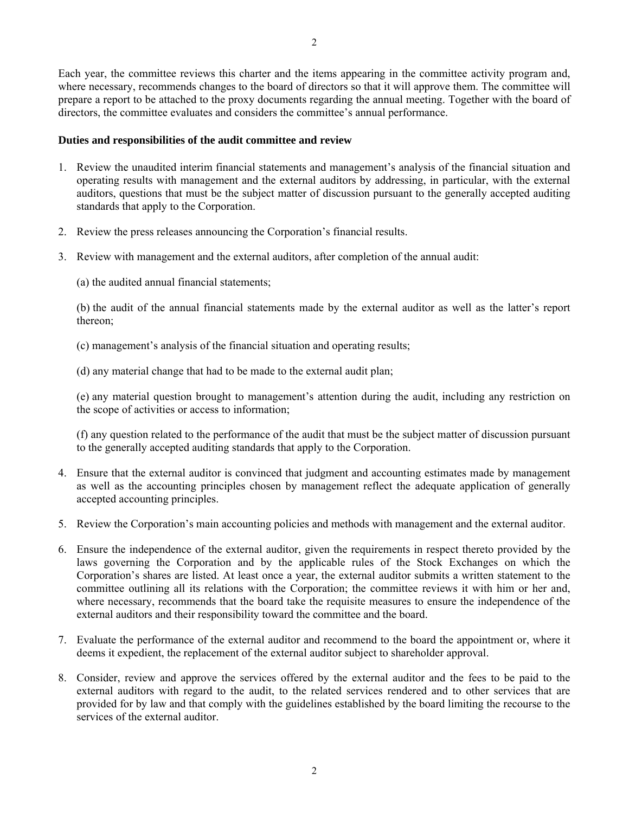Each year, the committee reviews this charter and the items appearing in the committee activity program and, where necessary, recommends changes to the board of directors so that it will approve them. The committee will prepare a report to be attached to the proxy documents regarding the annual meeting. Together with the board of directors, the committee evaluates and considers the committee's annual performance.

# **Duties and responsibilities of the audit committee and review**

- 1. Review the unaudited interim financial statements and management's analysis of the financial situation and operating results with management and the external auditors by addressing, in particular, with the external auditors, questions that must be the subject matter of discussion pursuant to the generally accepted auditing standards that apply to the Corporation.
- 2. Review the press releases announcing the Corporation's financial results.
- 3. Review with management and the external auditors, after completion of the annual audit:
	- (a) the audited annual financial statements;

(b) the audit of the annual financial statements made by the external auditor as well as the latter's report thereon;

- (c) management's analysis of the financial situation and operating results;
- (d) any material change that had to be made to the external audit plan;

(e) any material question brought to management's attention during the audit, including any restriction on the scope of activities or access to information;

(f) any question related to the performance of the audit that must be the subject matter of discussion pursuant to the generally accepted auditing standards that apply to the Corporation.

- 4. Ensure that the external auditor is convinced that judgment and accounting estimates made by management as well as the accounting principles chosen by management reflect the adequate application of generally accepted accounting principles.
- 5. Review the Corporation's main accounting policies and methods with management and the external auditor.
- 6. Ensure the independence of the external auditor, given the requirements in respect thereto provided by the laws governing the Corporation and by the applicable rules of the Stock Exchanges on which the Corporation's shares are listed. At least once a year, the external auditor submits a written statement to the committee outlining all its relations with the Corporation; the committee reviews it with him or her and, where necessary, recommends that the board take the requisite measures to ensure the independence of the external auditors and their responsibility toward the committee and the board.
- 7. Evaluate the performance of the external auditor and recommend to the board the appointment or, where it deems it expedient, the replacement of the external auditor subject to shareholder approval.
- 8. Consider, review and approve the services offered by the external auditor and the fees to be paid to the external auditors with regard to the audit, to the related services rendered and to other services that are provided for by law and that comply with the guidelines established by the board limiting the recourse to the services of the external auditor.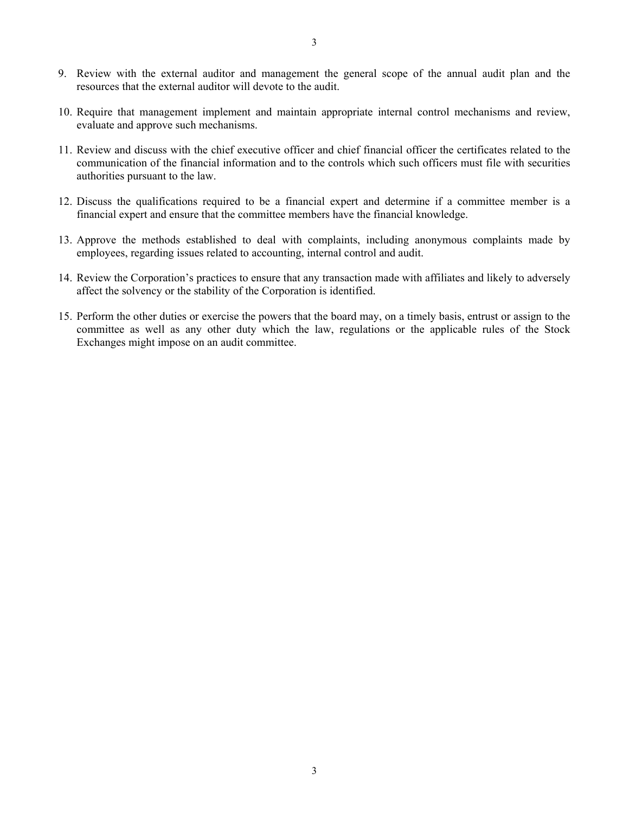- 9. Review with the external auditor and management the general scope of the annual audit plan and the resources that the external auditor will devote to the audit.
- 10. Require that management implement and maintain appropriate internal control mechanisms and review, evaluate and approve such mechanisms.
- 11. Review and discuss with the chief executive officer and chief financial officer the certificates related to the communication of the financial information and to the controls which such officers must file with securities authorities pursuant to the law.
- 12. Discuss the qualifications required to be a financial expert and determine if a committee member is a financial expert and ensure that the committee members have the financial knowledge.
- 13. Approve the methods established to deal with complaints, including anonymous complaints made by employees, regarding issues related to accounting, internal control and audit.
- 14. Review the Corporation's practices to ensure that any transaction made with affiliates and likely to adversely affect the solvency or the stability of the Corporation is identified.
- 15. Perform the other duties or exercise the powers that the board may, on a timely basis, entrust or assign to the committee as well as any other duty which the law, regulations or the applicable rules of the Stock Exchanges might impose on an audit committee.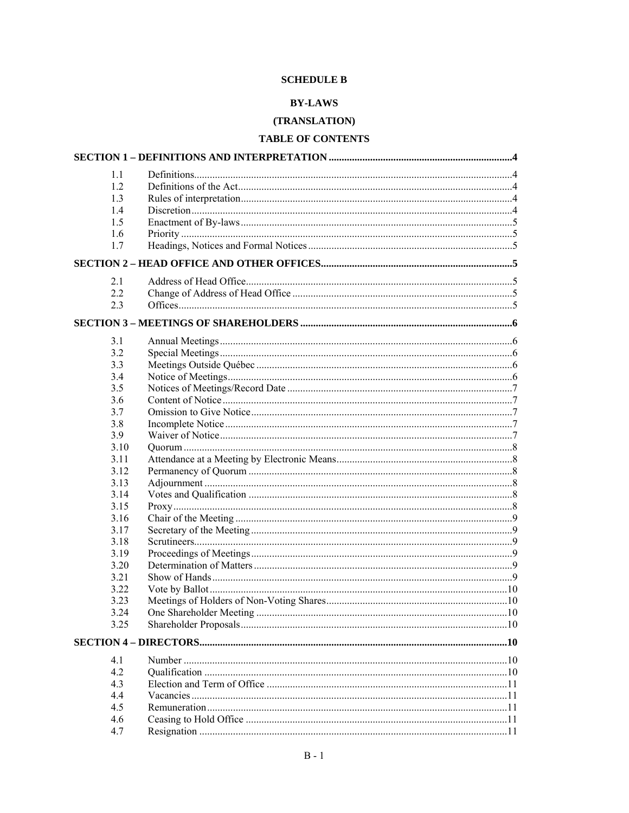# **SCHEDULE B**

# **BY-LAWS**

# (TRANSLATION)

# TABLE OF CONTENTS

| 1.1  |  |
|------|--|
| 1.2  |  |
| 1.3  |  |
| 1.4  |  |
| 1.5  |  |
| 1.6  |  |
| 1.7  |  |
|      |  |
| 2.1  |  |
| 2.2  |  |
| 2.3  |  |
|      |  |
| 3.1  |  |
| 3.2  |  |
| 3.3  |  |
| 3.4  |  |
| 3.5  |  |
| 3.6  |  |
| 3.7  |  |
| 3.8  |  |
| 3.9  |  |
| 3.10 |  |
| 3.11 |  |
| 3.12 |  |
| 3.13 |  |
| 3.14 |  |
| 3.15 |  |
| 3.16 |  |
| 3.17 |  |
| 3.18 |  |
| 3.19 |  |
| 3.20 |  |
| 3.21 |  |
| 3.22 |  |
| 3.23 |  |
| 3.24 |  |
| 3.25 |  |
|      |  |
| 4.1  |  |
| 4.2  |  |
| 4.3  |  |
| 4.4  |  |
| 4.5  |  |
| 4.6  |  |
| 4.7  |  |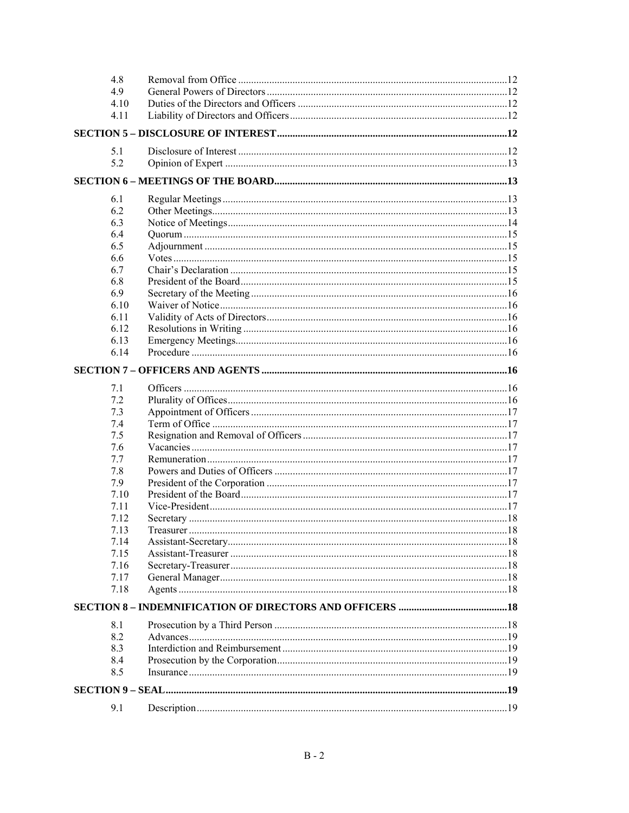| 4.8          |           |     |
|--------------|-----------|-----|
| 4.9          |           |     |
| 4.10         |           |     |
| 4.11         |           |     |
|              |           |     |
|              |           |     |
| 5.1<br>5.2   |           |     |
|              |           |     |
|              |           |     |
| 6.1          |           |     |
| 6.2          |           |     |
| 6.3          |           |     |
| 6.4          |           |     |
| 6.5          |           |     |
| 6.6          |           |     |
| 6.7          |           |     |
| 6.8          |           |     |
| 6.9          |           |     |
| 6.10         |           |     |
| 6.11         |           |     |
| 6.12         |           |     |
| 6.13         |           |     |
| 6.14         |           |     |
|              |           |     |
| 7.1          |           |     |
| 7.2          |           |     |
| 7.3          |           |     |
| 7.4          |           |     |
| 7.5          |           |     |
| 7.6          |           |     |
| 7.7          |           |     |
| 7.8          |           |     |
| 7.9          |           |     |
| 7.10         |           |     |
| 7.11         |           |     |
| 7.12         |           |     |
| 7.13         | Treasurer | .18 |
| 7.14         |           |     |
| 7.15         |           |     |
| 7.16<br>7.17 |           |     |
| 7.18         |           |     |
|              |           |     |
|              |           |     |
| 8.1          |           |     |
| 8.2          |           |     |
| 8.3          |           |     |
| 8.4          |           |     |
| 8.5          |           |     |
|              |           |     |
| 9.1          |           |     |
|              |           |     |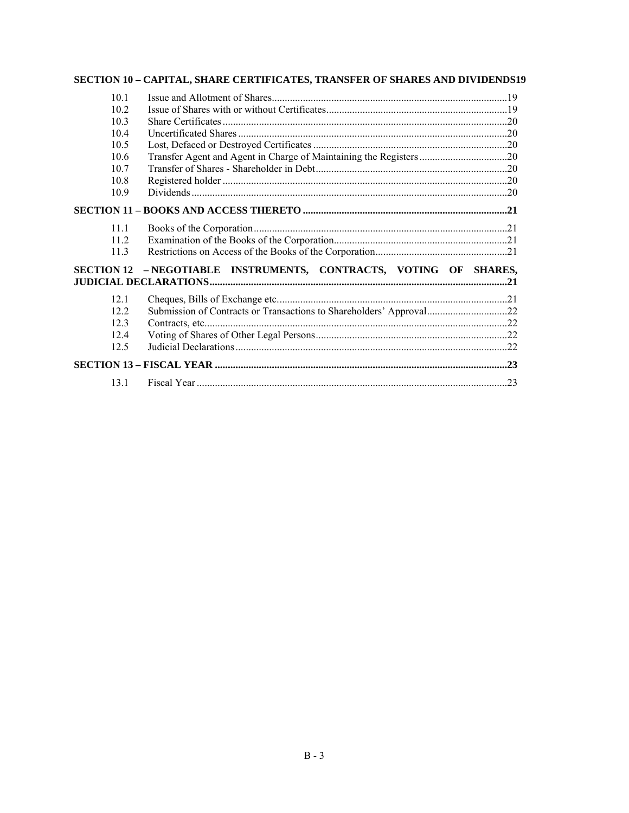# SECTION 10 - CAPITAL, SHARE CERTIFICATES, TRANSFER OF SHARES AND DIVIDENDS19

| 10 <sub>1</sub> |                                                                     |  |
|-----------------|---------------------------------------------------------------------|--|
| 10.2            |                                                                     |  |
| 10.3            |                                                                     |  |
| 10.4            |                                                                     |  |
| 10.5            |                                                                     |  |
| 10.6            |                                                                     |  |
| 10.7            |                                                                     |  |
| 10.8            |                                                                     |  |
| 10.9            |                                                                     |  |
|                 |                                                                     |  |
| 11.1            |                                                                     |  |
| 112             |                                                                     |  |
| 113             |                                                                     |  |
|                 |                                                                     |  |
|                 | SECTION 12 - NEGOTIABLE INSTRUMENTS, CONTRACTS, VOTING OF SHARES,   |  |
|                 |                                                                     |  |
| 12 <sub>1</sub> |                                                                     |  |
| 12.2            | Submission of Contracts or Transactions to Shareholders' Approval22 |  |
| 123             |                                                                     |  |
| 12.4            |                                                                     |  |
| 12.5            |                                                                     |  |
|                 |                                                                     |  |
|                 |                                                                     |  |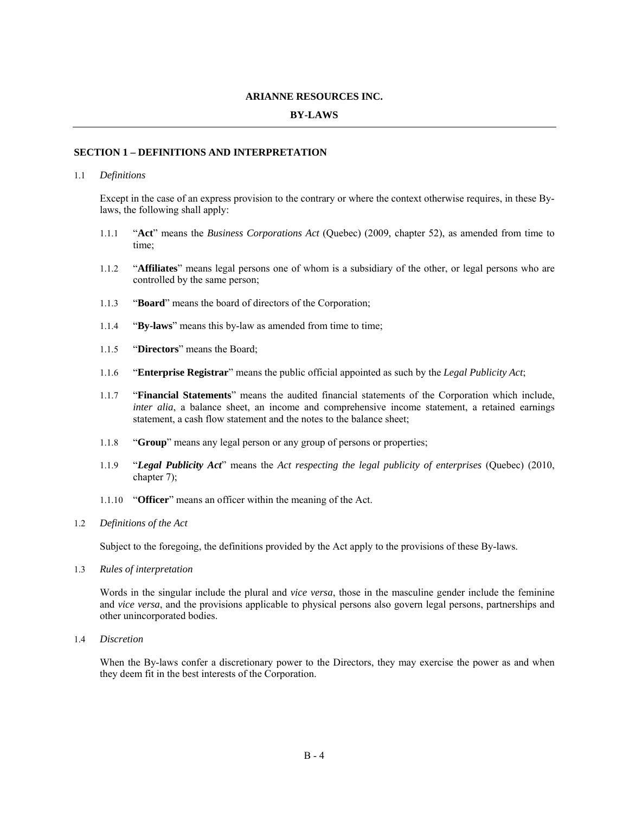#### **ARIANNE RESOURCES INC.**

## **BY-LAWS**

#### **SECTION 1 – DEFINITIONS AND INTERPRETATION**

#### 1.1 *Definitions*

Except in the case of an express provision to the contrary or where the context otherwise requires, in these Bylaws, the following shall apply:

- 1.1.1 "**Act**" means the *Business Corporations Act* (Quebec) (2009, chapter 52), as amended from time to time;
- 1.1.2 "**Affiliates**" means legal persons one of whom is a subsidiary of the other, or legal persons who are controlled by the same person;
- 1.1.3 "**Board**" means the board of directors of the Corporation;
- 1.1.4 "**By-laws**" means this by-law as amended from time to time;
- 1.1.5 "**Directors**" means the Board;
- 1.1.6 "**Enterprise Registrar**" means the public official appointed as such by the *Legal Publicity Act*;
- 1.1.7 "**Financial Statements**" means the audited financial statements of the Corporation which include, *inter alia*, a balance sheet, an income and comprehensive income statement, a retained earnings statement, a cash flow statement and the notes to the balance sheet;
- 1.1.8 "**Group**" means any legal person or any group of persons or properties;
- 1.1.9 "*Legal Publicity Act*" means the *Act respecting the legal publicity of enterprises* (Quebec) (2010, chapter 7);
- 1.1.10 "**Officer**" means an officer within the meaning of the Act.
- 1.2 *Definitions of the Act*

Subject to the foregoing, the definitions provided by the Act apply to the provisions of these By-laws.

1.3 *Rules of interpretation* 

Words in the singular include the plural and *vice versa*, those in the masculine gender include the feminine and *vice versa*, and the provisions applicable to physical persons also govern legal persons, partnerships and other unincorporated bodies.

1.4 *Discretion* 

When the By-laws confer a discretionary power to the Directors, they may exercise the power as and when they deem fit in the best interests of the Corporation.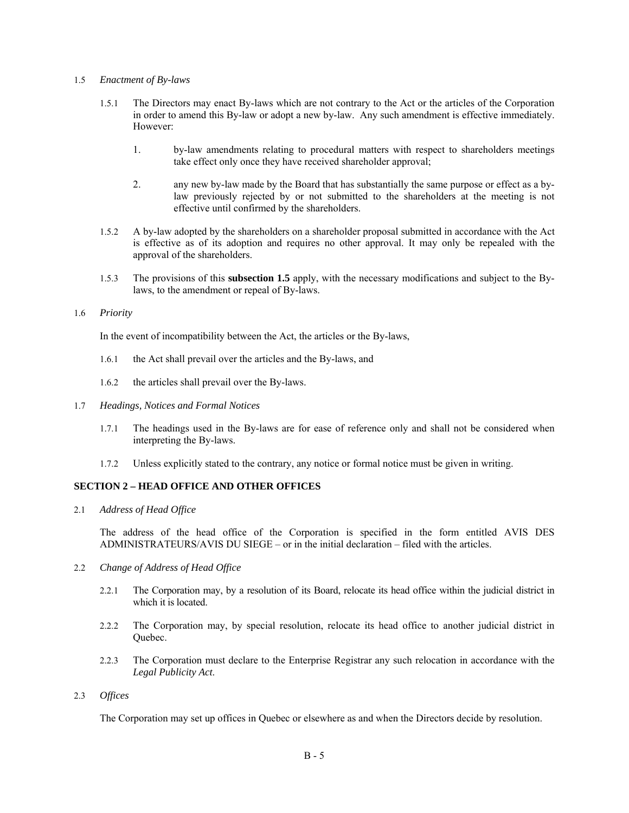#### 1.5 *Enactment of By-laws*

- 1.5.1 The Directors may enact By-laws which are not contrary to the Act or the articles of the Corporation in order to amend this By-law or adopt a new by-law. Any such amendment is effective immediately. However:
	- 1. by-law amendments relating to procedural matters with respect to shareholders meetings take effect only once they have received shareholder approval;
	- 2. any new by-law made by the Board that has substantially the same purpose or effect as a bylaw previously rejected by or not submitted to the shareholders at the meeting is not effective until confirmed by the shareholders.
- 1.5.2 A by-law adopted by the shareholders on a shareholder proposal submitted in accordance with the Act is effective as of its adoption and requires no other approval. It may only be repealed with the approval of the shareholders.
- 1.5.3 The provisions of this **subsection 1.5** apply, with the necessary modifications and subject to the Bylaws, to the amendment or repeal of By-laws.

#### 1.6 *Priority*

In the event of incompatibility between the Act, the articles or the By-laws,

- 1.6.1 the Act shall prevail over the articles and the By-laws, and
- 1.6.2 the articles shall prevail over the By-laws.
- 1.7 *Headings, Notices and Formal Notices* 
	- 1.7.1 The headings used in the By-laws are for ease of reference only and shall not be considered when interpreting the By-laws.
	- 1.7.2 Unless explicitly stated to the contrary, any notice or formal notice must be given in writing.

# **SECTION 2 – HEAD OFFICE AND OTHER OFFICES**

2.1 *Address of Head Office* 

The address of the head office of the Corporation is specified in the form entitled AVIS DES ADMINISTRATEURS/AVIS DU SIEGE – or in the initial declaration – filed with the articles.

- 2.2 *Change of Address of Head Office* 
	- 2.2.1 The Corporation may, by a resolution of its Board, relocate its head office within the judicial district in which it is located.
	- 2.2.2 The Corporation may, by special resolution, relocate its head office to another judicial district in Ouebec.
	- 2.2.3 The Corporation must declare to the Enterprise Registrar any such relocation in accordance with the *Legal Publicity Act*.
- 2.3 *Offices*

The Corporation may set up offices in Quebec or elsewhere as and when the Directors decide by resolution.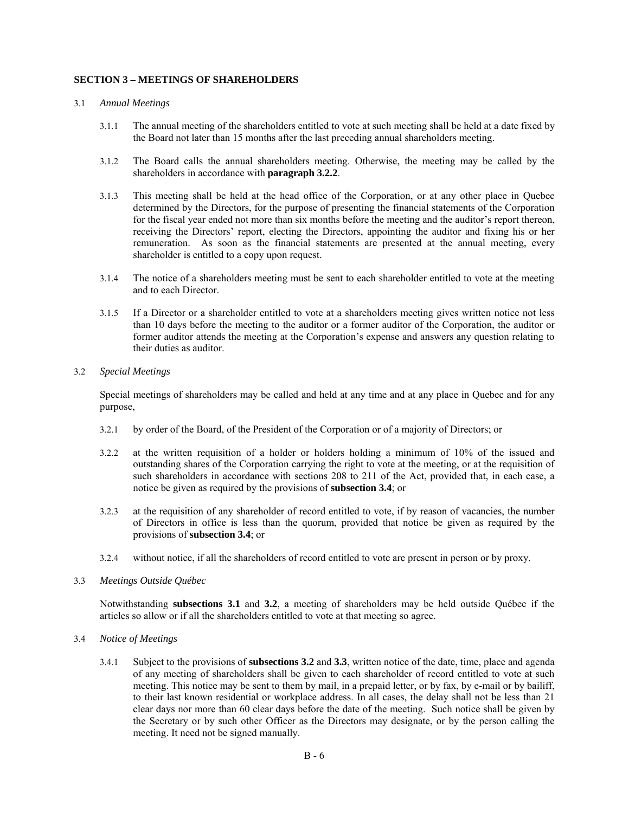### **SECTION 3 – MEETINGS OF SHAREHOLDERS**

#### 3.1 *Annual Meetings*

- 3.1.1 The annual meeting of the shareholders entitled to vote at such meeting shall be held at a date fixed by the Board not later than 15 months after the last preceding annual shareholders meeting.
- 3.1.2 The Board calls the annual shareholders meeting. Otherwise, the meeting may be called by the shareholders in accordance with **paragraph 3.2.2**.
- 3.1.3 This meeting shall be held at the head office of the Corporation, or at any other place in Quebec determined by the Directors, for the purpose of presenting the financial statements of the Corporation for the fiscal year ended not more than six months before the meeting and the auditor's report thereon, receiving the Directors' report, electing the Directors, appointing the auditor and fixing his or her remuneration. As soon as the financial statements are presented at the annual meeting, every shareholder is entitled to a copy upon request.
- 3.1.4 The notice of a shareholders meeting must be sent to each shareholder entitled to vote at the meeting and to each Director.
- 3.1.5 If a Director or a shareholder entitled to vote at a shareholders meeting gives written notice not less than 10 days before the meeting to the auditor or a former auditor of the Corporation, the auditor or former auditor attends the meeting at the Corporation's expense and answers any question relating to their duties as auditor.

#### 3.2 *Special Meetings*

Special meetings of shareholders may be called and held at any time and at any place in Quebec and for any purpose,

- 3.2.1 by order of the Board, of the President of the Corporation or of a majority of Directors; or
- 3.2.2 at the written requisition of a holder or holders holding a minimum of 10% of the issued and outstanding shares of the Corporation carrying the right to vote at the meeting, or at the requisition of such shareholders in accordance with sections 208 to 211 of the Act, provided that, in each case, a notice be given as required by the provisions of **subsection 3.4**; or
- 3.2.3 at the requisition of any shareholder of record entitled to vote, if by reason of vacancies, the number of Directors in office is less than the quorum, provided that notice be given as required by the provisions of **subsection 3.4**; or
- 3.2.4 without notice, if all the shareholders of record entitled to vote are present in person or by proxy.

#### 3.3 *Meetings Outside Québec*

Notwithstanding **subsections 3.1** and **3.2**, a meeting of shareholders may be held outside Québec if the articles so allow or if all the shareholders entitled to vote at that meeting so agree.

- 3.4 *Notice of Meetings* 
	- 3.4.1 Subject to the provisions of **subsections 3.2** and **3.3**, written notice of the date, time, place and agenda of any meeting of shareholders shall be given to each shareholder of record entitled to vote at such meeting. This notice may be sent to them by mail, in a prepaid letter, or by fax, by e-mail or by bailiff, to their last known residential or workplace address. In all cases, the delay shall not be less than 21 clear days nor more than 60 clear days before the date of the meeting. Such notice shall be given by the Secretary or by such other Officer as the Directors may designate, or by the person calling the meeting. It need not be signed manually.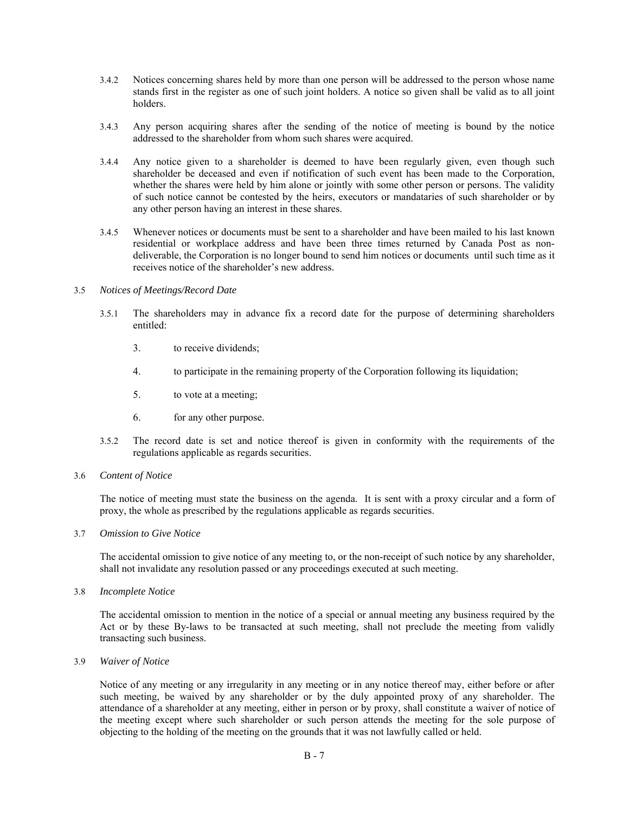- 3.4.2 Notices concerning shares held by more than one person will be addressed to the person whose name stands first in the register as one of such joint holders. A notice so given shall be valid as to all joint holders.
- 3.4.3 Any person acquiring shares after the sending of the notice of meeting is bound by the notice addressed to the shareholder from whom such shares were acquired.
- 3.4.4 Any notice given to a shareholder is deemed to have been regularly given, even though such shareholder be deceased and even if notification of such event has been made to the Corporation, whether the shares were held by him alone or jointly with some other person or persons. The validity of such notice cannot be contested by the heirs, executors or mandataries of such shareholder or by any other person having an interest in these shares.
- 3.4.5 Whenever notices or documents must be sent to a shareholder and have been mailed to his last known residential or workplace address and have been three times returned by Canada Post as nondeliverable, the Corporation is no longer bound to send him notices or documents until such time as it receives notice of the shareholder's new address.

#### 3.5 *Notices of Meetings/Record Date*

- 3.5.1 The shareholders may in advance fix a record date for the purpose of determining shareholders entitled:
	- 3. to receive dividends;
	- 4. to participate in the remaining property of the Corporation following its liquidation;
	- 5. to vote at a meeting;
	- 6. for any other purpose.
- 3.5.2 The record date is set and notice thereof is given in conformity with the requirements of the regulations applicable as regards securities.
- 3.6 *Content of Notice*

The notice of meeting must state the business on the agenda. It is sent with a proxy circular and a form of proxy, the whole as prescribed by the regulations applicable as regards securities.

3.7 *Omission to Give Notice* 

The accidental omission to give notice of any meeting to, or the non-receipt of such notice by any shareholder, shall not invalidate any resolution passed or any proceedings executed at such meeting.

3.8 *Incomplete Notice* 

The accidental omission to mention in the notice of a special or annual meeting any business required by the Act or by these By-laws to be transacted at such meeting, shall not preclude the meeting from validly transacting such business.

3.9 *Waiver of Notice* 

Notice of any meeting or any irregularity in any meeting or in any notice thereof may, either before or after such meeting, be waived by any shareholder or by the duly appointed proxy of any shareholder. The attendance of a shareholder at any meeting, either in person or by proxy, shall constitute a waiver of notice of the meeting except where such shareholder or such person attends the meeting for the sole purpose of objecting to the holding of the meeting on the grounds that it was not lawfully called or held.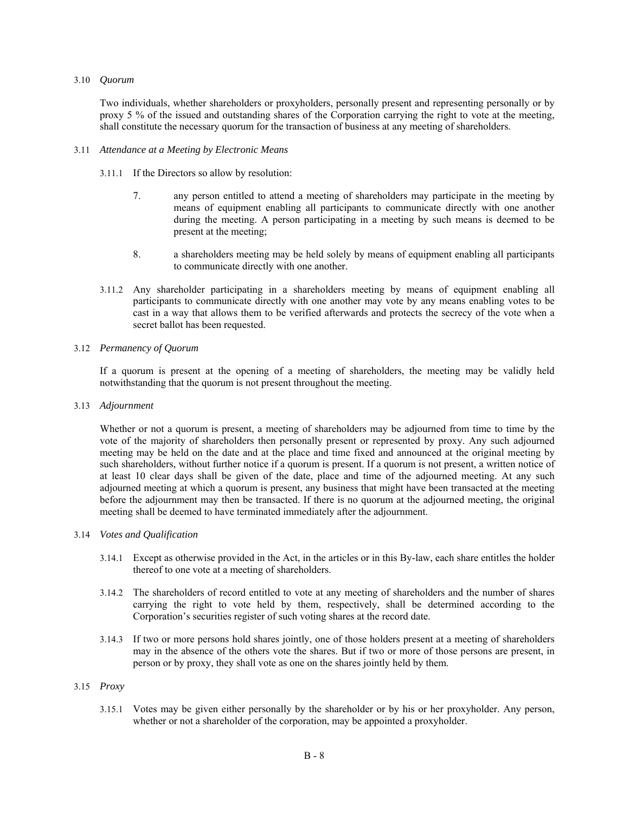#### 3.10 *Quorum*

Two individuals, whether shareholders or proxyholders, personally present and representing personally or by proxy 5 % of the issued and outstanding shares of the Corporation carrying the right to vote at the meeting, shall constitute the necessary quorum for the transaction of business at any meeting of shareholders.

#### 3.11 *Attendance at a Meeting by Electronic Means*

- 3.11.1 If the Directors so allow by resolution:
	- 7. any person entitled to attend a meeting of shareholders may participate in the meeting by means of equipment enabling all participants to communicate directly with one another during the meeting. A person participating in a meeting by such means is deemed to be present at the meeting;
	- 8. a shareholders meeting may be held solely by means of equipment enabling all participants to communicate directly with one another.
- 3.11.2 Any shareholder participating in a shareholders meeting by means of equipment enabling all participants to communicate directly with one another may vote by any means enabling votes to be cast in a way that allows them to be verified afterwards and protects the secrecy of the vote when a secret ballot has been requested.

#### 3.12 *Permanency of Quorum*

If a quorum is present at the opening of a meeting of shareholders, the meeting may be validly held notwithstanding that the quorum is not present throughout the meeting.

#### 3.13 *Adjournment*

Whether or not a quorum is present, a meeting of shareholders may be adjourned from time to time by the vote of the majority of shareholders then personally present or represented by proxy. Any such adjourned meeting may be held on the date and at the place and time fixed and announced at the original meeting by such shareholders, without further notice if a quorum is present. If a quorum is not present, a written notice of at least 10 clear days shall be given of the date, place and time of the adjourned meeting. At any such adjourned meeting at which a quorum is present, any business that might have been transacted at the meeting before the adjournment may then be transacted. If there is no quorum at the adjourned meeting, the original meeting shall be deemed to have terminated immediately after the adjournment.

#### 3.14 *Votes and Qualification*

- 3.14.1 Except as otherwise provided in the Act, in the articles or in this By-law, each share entitles the holder thereof to one vote at a meeting of shareholders.
- 3.14.2 The shareholders of record entitled to vote at any meeting of shareholders and the number of shares carrying the right to vote held by them, respectively, shall be determined according to the Corporation's securities register of such voting shares at the record date.
- 3.14.3 If two or more persons hold shares jointly, one of those holders present at a meeting of shareholders may in the absence of the others vote the shares. But if two or more of those persons are present, in person or by proxy, they shall vote as one on the shares jointly held by them.

#### 3.15 *Proxy*

3.15.1 Votes may be given either personally by the shareholder or by his or her proxyholder. Any person, whether or not a shareholder of the corporation, may be appointed a proxyholder.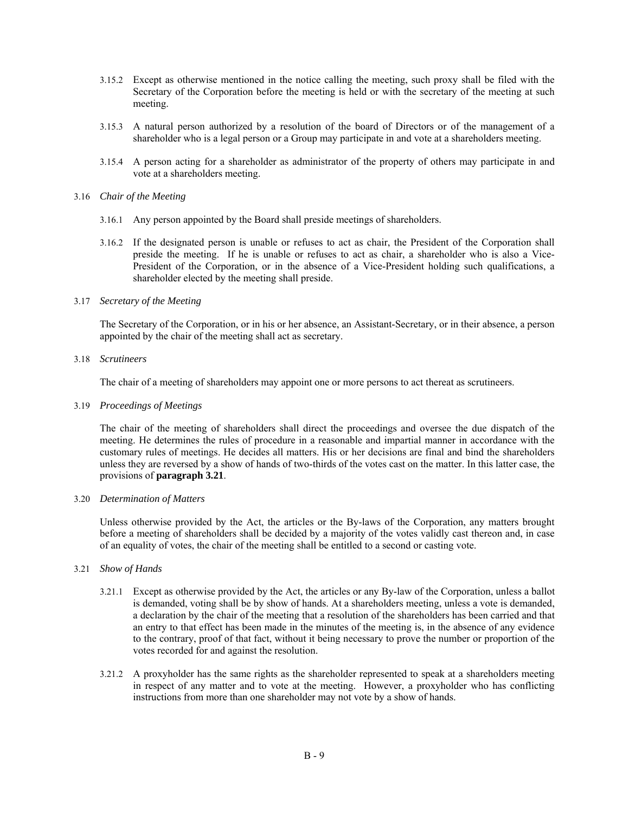- 3.15.2 Except as otherwise mentioned in the notice calling the meeting, such proxy shall be filed with the Secretary of the Corporation before the meeting is held or with the secretary of the meeting at such meeting.
- 3.15.3 A natural person authorized by a resolution of the board of Directors or of the management of a shareholder who is a legal person or a Group may participate in and vote at a shareholders meeting.
- 3.15.4 A person acting for a shareholder as administrator of the property of others may participate in and vote at a shareholders meeting.

#### 3.16 *Chair of the Meeting*

- 3.16.1 Any person appointed by the Board shall preside meetings of shareholders.
- 3.16.2 If the designated person is unable or refuses to act as chair, the President of the Corporation shall preside the meeting. If he is unable or refuses to act as chair, a shareholder who is also a Vice-President of the Corporation, or in the absence of a Vice-President holding such qualifications, a shareholder elected by the meeting shall preside.

#### 3.17 *Secretary of the Meeting*

The Secretary of the Corporation, or in his or her absence, an Assistant-Secretary, or in their absence, a person appointed by the chair of the meeting shall act as secretary.

3.18 *Scrutineers* 

The chair of a meeting of shareholders may appoint one or more persons to act thereat as scrutineers.

3.19 *Proceedings of Meetings* 

The chair of the meeting of shareholders shall direct the proceedings and oversee the due dispatch of the meeting. He determines the rules of procedure in a reasonable and impartial manner in accordance with the customary rules of meetings. He decides all matters. His or her decisions are final and bind the shareholders unless they are reversed by a show of hands of two-thirds of the votes cast on the matter. In this latter case, the provisions of **paragraph 3.21**.

#### 3.20 *Determination of Matters*

Unless otherwise provided by the Act, the articles or the By-laws of the Corporation, any matters brought before a meeting of shareholders shall be decided by a majority of the votes validly cast thereon and, in case of an equality of votes, the chair of the meeting shall be entitled to a second or casting vote.

#### 3.21 *Show of Hands*

- 3.21.1 Except as otherwise provided by the Act, the articles or any By-law of the Corporation, unless a ballot is demanded, voting shall be by show of hands. At a shareholders meeting, unless a vote is demanded, a declaration by the chair of the meeting that a resolution of the shareholders has been carried and that an entry to that effect has been made in the minutes of the meeting is, in the absence of any evidence to the contrary, proof of that fact, without it being necessary to prove the number or proportion of the votes recorded for and against the resolution.
- 3.21.2 A proxyholder has the same rights as the shareholder represented to speak at a shareholders meeting in respect of any matter and to vote at the meeting. However, a proxyholder who has conflicting instructions from more than one shareholder may not vote by a show of hands.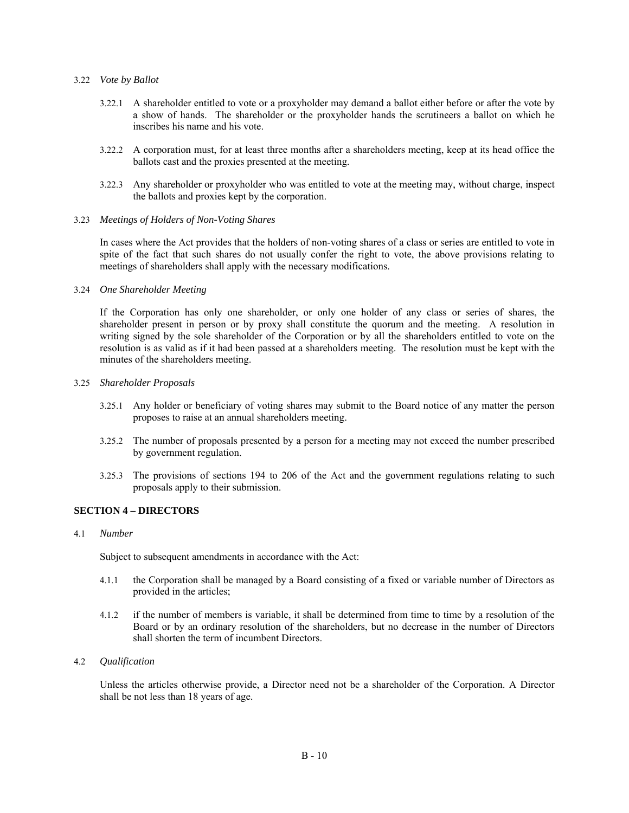#### 3.22 *Vote by Ballot*

- 3.22.1 A shareholder entitled to vote or a proxyholder may demand a ballot either before or after the vote by a show of hands. The shareholder or the proxyholder hands the scrutineers a ballot on which he inscribes his name and his vote.
- 3.22.2 A corporation must, for at least three months after a shareholders meeting, keep at its head office the ballots cast and the proxies presented at the meeting.
- 3.22.3 Any shareholder or proxyholder who was entitled to vote at the meeting may, without charge, inspect the ballots and proxies kept by the corporation.

#### 3.23 *Meetings of Holders of Non-Voting Shares*

In cases where the Act provides that the holders of non-voting shares of a class or series are entitled to vote in spite of the fact that such shares do not usually confer the right to vote, the above provisions relating to meetings of shareholders shall apply with the necessary modifications.

#### 3.24 *One Shareholder Meeting*

If the Corporation has only one shareholder, or only one holder of any class or series of shares, the shareholder present in person or by proxy shall constitute the quorum and the meeting. A resolution in writing signed by the sole shareholder of the Corporation or by all the shareholders entitled to vote on the resolution is as valid as if it had been passed at a shareholders meeting. The resolution must be kept with the minutes of the shareholders meeting.

#### 3.25 *Shareholder Proposals*

- 3.25.1 Any holder or beneficiary of voting shares may submit to the Board notice of any matter the person proposes to raise at an annual shareholders meeting.
- 3.25.2 The number of proposals presented by a person for a meeting may not exceed the number prescribed by government regulation.
- 3.25.3 The provisions of sections 194 to 206 of the Act and the government regulations relating to such proposals apply to their submission.

#### **SECTION 4 – DIRECTORS**

#### 4.1 *Number*

Subject to subsequent amendments in accordance with the Act:

- 4.1.1 the Corporation shall be managed by a Board consisting of a fixed or variable number of Directors as provided in the articles;
- 4.1.2 if the number of members is variable, it shall be determined from time to time by a resolution of the Board or by an ordinary resolution of the shareholders, but no decrease in the number of Directors shall shorten the term of incumbent Directors.

#### 4.2 *Qualification*

Unless the articles otherwise provide, a Director need not be a shareholder of the Corporation. A Director shall be not less than 18 years of age.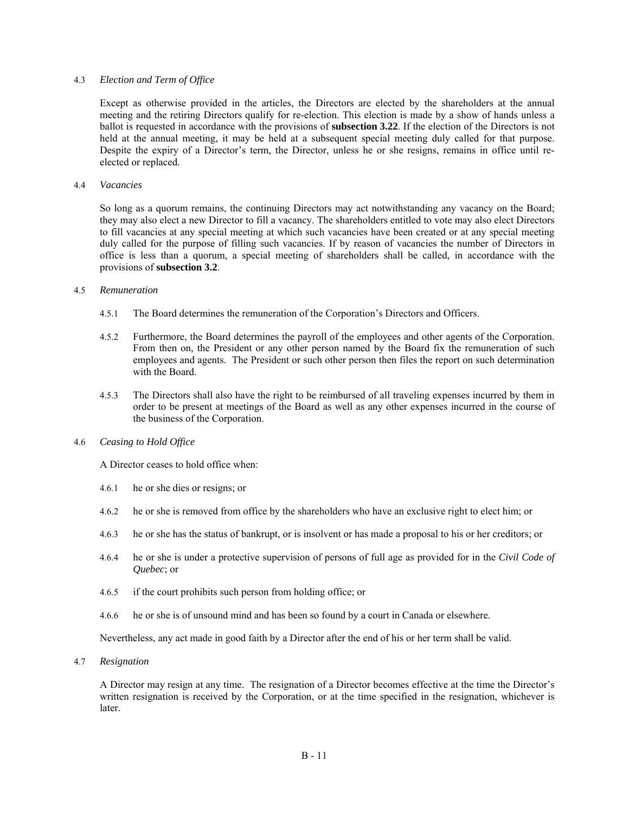#### 4.3 *Election and Term of Office*

Except as otherwise provided in the articles, the Directors are elected by the shareholders at the annual meeting and the retiring Directors qualify for re-election. This election is made by a show of hands unless a ballot is requested in accordance with the provisions of **subsection 3.22**. If the election of the Directors is not held at the annual meeting, it may be held at a subsequent special meeting duly called for that purpose. Despite the expiry of a Director's term, the Director, unless he or she resigns, remains in office until reelected or replaced.

#### 4.4 *Vacancies*

So long as a quorum remains, the continuing Directors may act notwithstanding any vacancy on the Board; they may also elect a new Director to fill a vacancy. The shareholders entitled to vote may also elect Directors to fill vacancies at any special meeting at which such vacancies have been created or at any special meeting duly called for the purpose of filling such vacancies. If by reason of vacancies the number of Directors in office is less than a quorum, a special meeting of shareholders shall be called, in accordance with the provisions of **subsection 3.2**.

#### 4.5 *Remuneration*

- 4.5.1 The Board determines the remuneration of the Corporation's Directors and Officers.
- 4.5.2 Furthermore, the Board determines the payroll of the employees and other agents of the Corporation. From then on, the President or any other person named by the Board fix the remuneration of such employees and agents. The President or such other person then files the report on such determination with the Board.
- 4.5.3 The Directors shall also have the right to be reimbursed of all traveling expenses incurred by them in order to be present at meetings of the Board as well as any other expenses incurred in the course of the business of the Corporation.

#### 4.6 *Ceasing to Hold Office*

A Director ceases to hold office when:

- 4.6.1 he or she dies or resigns; or
- 4.6.2 he or she is removed from office by the shareholders who have an exclusive right to elect him; or
- 4.6.3 he or she has the status of bankrupt, or is insolvent or has made a proposal to his or her creditors; or
- 4.6.4 he or she is under a protective supervision of persons of full age as provided for in the *Civil Code of Quebec*; or
- 4.6.5 if the court prohibits such person from holding office; or
- 4.6.6 he or she is of unsound mind and has been so found by a court in Canada or elsewhere.

Nevertheless, any act made in good faith by a Director after the end of his or her term shall be valid.

4.7 *Resignation* 

A Director may resign at any time. The resignation of a Director becomes effective at the time the Director's written resignation is received by the Corporation, or at the time specified in the resignation, whichever is later.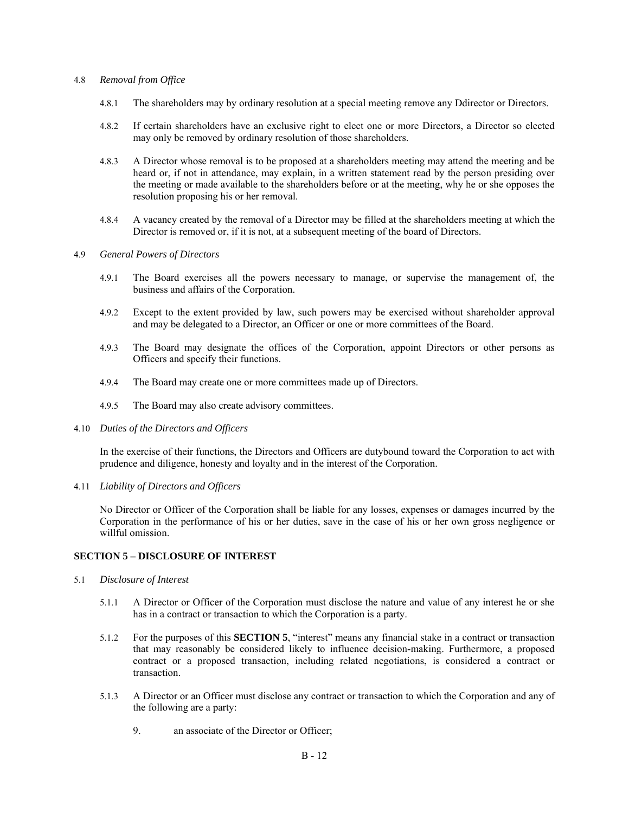#### 4.8 *Removal from Office*

- 4.8.1 The shareholders may by ordinary resolution at a special meeting remove any Ddirector or Directors.
- 4.8.2 If certain shareholders have an exclusive right to elect one or more Directors, a Director so elected may only be removed by ordinary resolution of those shareholders.
- 4.8.3 A Director whose removal is to be proposed at a shareholders meeting may attend the meeting and be heard or, if not in attendance, may explain, in a written statement read by the person presiding over the meeting or made available to the shareholders before or at the meeting, why he or she opposes the resolution proposing his or her removal.
- 4.8.4 A vacancy created by the removal of a Director may be filled at the shareholders meeting at which the Director is removed or, if it is not, at a subsequent meeting of the board of Directors.

#### 4.9 *General Powers of Directors*

- 4.9.1 The Board exercises all the powers necessary to manage, or supervise the management of, the business and affairs of the Corporation.
- 4.9.2 Except to the extent provided by law, such powers may be exercised without shareholder approval and may be delegated to a Director, an Officer or one or more committees of the Board.
- 4.9.3 The Board may designate the offices of the Corporation, appoint Directors or other persons as Officers and specify their functions.
- 4.9.4 The Board may create one or more committees made up of Directors.
- 4.9.5 The Board may also create advisory committees.
- 4.10 *Duties of the Directors and Officers*

In the exercise of their functions, the Directors and Officers are dutybound toward the Corporation to act with prudence and diligence, honesty and loyalty and in the interest of the Corporation.

4.11 *Liability of Directors and Officers* 

No Director or Officer of the Corporation shall be liable for any losses, expenses or damages incurred by the Corporation in the performance of his or her duties, save in the case of his or her own gross negligence or willful omission.

# **SECTION 5 – DISCLOSURE OF INTEREST**

- 5.1 *Disclosure of Interest* 
	- 5.1.1 A Director or Officer of the Corporation must disclose the nature and value of any interest he or she has in a contract or transaction to which the Corporation is a party.
	- 5.1.2 For the purposes of this **SECTION 5**, "interest" means any financial stake in a contract or transaction that may reasonably be considered likely to influence decision-making. Furthermore, a proposed contract or a proposed transaction, including related negotiations, is considered a contract or transaction.
	- 5.1.3 A Director or an Officer must disclose any contract or transaction to which the Corporation and any of the following are a party:
		- 9. an associate of the Director or Officer;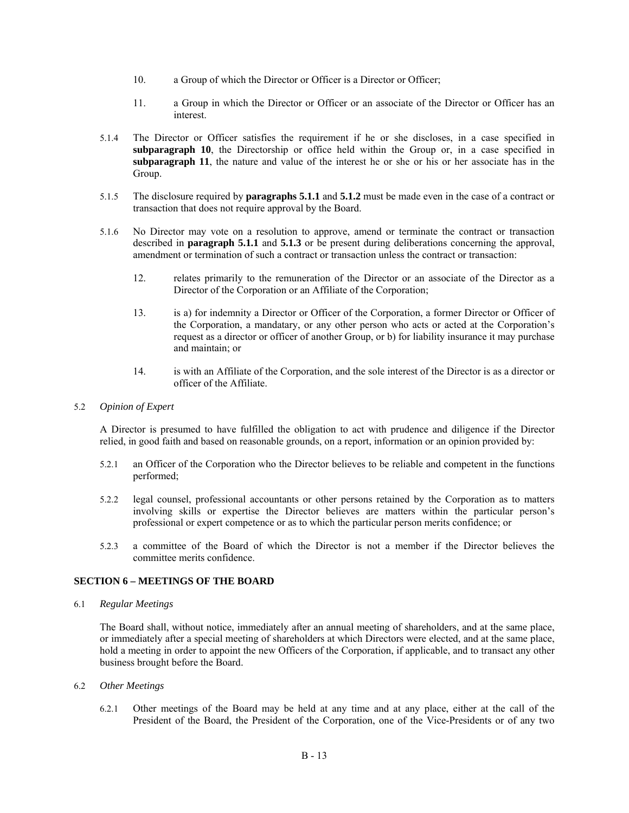- 10. a Group of which the Director or Officer is a Director or Officer;
- 11. a Group in which the Director or Officer or an associate of the Director or Officer has an interest.
- 5.1.4 The Director or Officer satisfies the requirement if he or she discloses, in a case specified in **subparagraph 10**, the Directorship or office held within the Group or, in a case specified in **subparagraph 11**, the nature and value of the interest he or she or his or her associate has in the Group.
- 5.1.5 The disclosure required by **paragraphs 5.1.1** and **5.1.2** must be made even in the case of a contract or transaction that does not require approval by the Board.
- 5.1.6 No Director may vote on a resolution to approve, amend or terminate the contract or transaction described in **paragraph 5.1.1** and **5.1.3** or be present during deliberations concerning the approval, amendment or termination of such a contract or transaction unless the contract or transaction:
	- 12. relates primarily to the remuneration of the Director or an associate of the Director as a Director of the Corporation or an Affiliate of the Corporation;
	- 13. is a) for indemnity a Director or Officer of the Corporation, a former Director or Officer of the Corporation, a mandatary, or any other person who acts or acted at the Corporation's request as a director or officer of another Group, or b) for liability insurance it may purchase and maintain; or
	- 14. is with an Affiliate of the Corporation, and the sole interest of the Director is as a director or officer of the Affiliate.

#### 5.2 *Opinion of Expert*

A Director is presumed to have fulfilled the obligation to act with prudence and diligence if the Director relied, in good faith and based on reasonable grounds, on a report, information or an opinion provided by:

- 5.2.1 an Officer of the Corporation who the Director believes to be reliable and competent in the functions performed;
- 5.2.2 legal counsel, professional accountants or other persons retained by the Corporation as to matters involving skills or expertise the Director believes are matters within the particular person's professional or expert competence or as to which the particular person merits confidence; or
- 5.2.3 a committee of the Board of which the Director is not a member if the Director believes the committee merits confidence.

#### **SECTION 6 – MEETINGS OF THE BOARD**

6.1 *Regular Meetings* 

The Board shall, without notice, immediately after an annual meeting of shareholders, and at the same place, or immediately after a special meeting of shareholders at which Directors were elected, and at the same place, hold a meeting in order to appoint the new Officers of the Corporation, if applicable, and to transact any other business brought before the Board.

- 6.2 *Other Meetings* 
	- 6.2.1 Other meetings of the Board may be held at any time and at any place, either at the call of the President of the Board, the President of the Corporation, one of the Vice-Presidents or of any two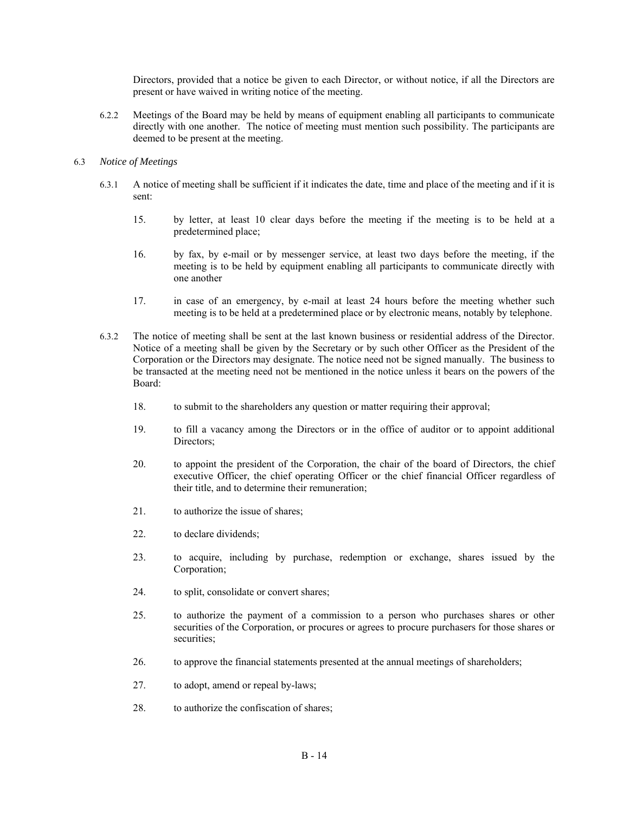Directors, provided that a notice be given to each Director, or without notice, if all the Directors are present or have waived in writing notice of the meeting.

6.2.2 Meetings of the Board may be held by means of equipment enabling all participants to communicate directly with one another. The notice of meeting must mention such possibility. The participants are deemed to be present at the meeting.

#### 6.3 *Notice of Meetings*

- 6.3.1 A notice of meeting shall be sufficient if it indicates the date, time and place of the meeting and if it is sent:
	- 15. by letter, at least 10 clear days before the meeting if the meeting is to be held at a predetermined place;
	- 16. by fax, by e-mail or by messenger service, at least two days before the meeting, if the meeting is to be held by equipment enabling all participants to communicate directly with one another
	- 17. in case of an emergency, by e-mail at least 24 hours before the meeting whether such meeting is to be held at a predetermined place or by electronic means, notably by telephone.
- 6.3.2 The notice of meeting shall be sent at the last known business or residential address of the Director. Notice of a meeting shall be given by the Secretary or by such other Officer as the President of the Corporation or the Directors may designate. The notice need not be signed manually. The business to be transacted at the meeting need not be mentioned in the notice unless it bears on the powers of the Board:
	- 18. to submit to the shareholders any question or matter requiring their approval;
	- 19. to fill a vacancy among the Directors or in the office of auditor or to appoint additional Directors;
	- 20. to appoint the president of the Corporation, the chair of the board of Directors, the chief executive Officer, the chief operating Officer or the chief financial Officer regardless of their title, and to determine their remuneration;
	- 21. to authorize the issue of shares;
	- 22. to declare dividends;
	- 23. to acquire, including by purchase, redemption or exchange, shares issued by the Corporation;
	- 24. to split, consolidate or convert shares;
	- 25. to authorize the payment of a commission to a person who purchases shares or other securities of the Corporation, or procures or agrees to procure purchasers for those shares or securities;
	- 26. to approve the financial statements presented at the annual meetings of shareholders;
	- 27. to adopt, amend or repeal by-laws;
	- 28. to authorize the confiscation of shares;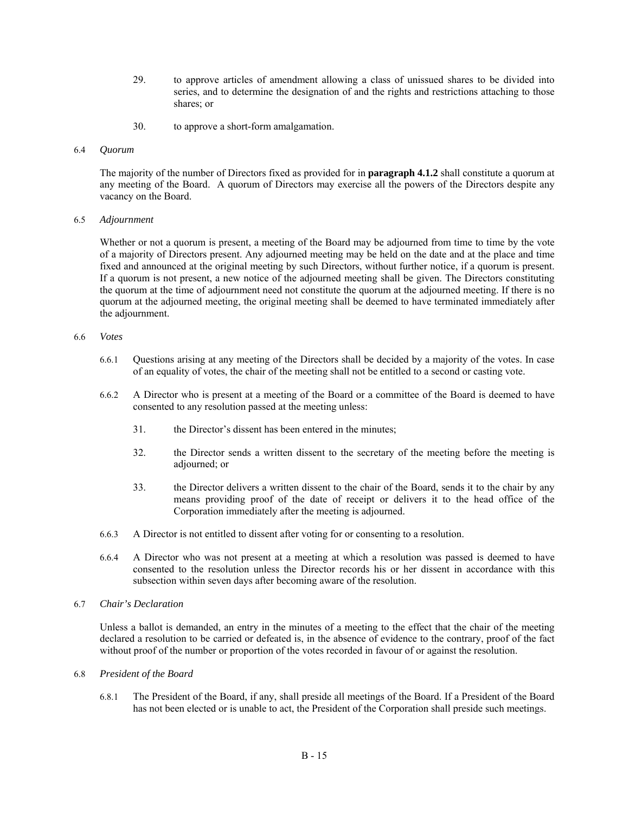- 29. to approve articles of amendment allowing a class of unissued shares to be divided into series, and to determine the designation of and the rights and restrictions attaching to those shares; or
- 30. to approve a short-form amalgamation.
- 6.4 *Quorum*

The majority of the number of Directors fixed as provided for in **paragraph 4.1.2** shall constitute a quorum at any meeting of the Board. A quorum of Directors may exercise all the powers of the Directors despite any vacancy on the Board.

#### 6.5 *Adjournment*

Whether or not a quorum is present, a meeting of the Board may be adjourned from time to time by the vote of a majority of Directors present. Any adjourned meeting may be held on the date and at the place and time fixed and announced at the original meeting by such Directors, without further notice, if a quorum is present. If a quorum is not present, a new notice of the adjourned meeting shall be given. The Directors constituting the quorum at the time of adjournment need not constitute the quorum at the adjourned meeting. If there is no quorum at the adjourned meeting, the original meeting shall be deemed to have terminated immediately after the adjournment.

#### 6.6 *Votes*

- 6.6.1 Questions arising at any meeting of the Directors shall be decided by a majority of the votes. In case of an equality of votes, the chair of the meeting shall not be entitled to a second or casting vote.
- 6.6.2 A Director who is present at a meeting of the Board or a committee of the Board is deemed to have consented to any resolution passed at the meeting unless:
	- 31. the Director's dissent has been entered in the minutes;
	- 32. the Director sends a written dissent to the secretary of the meeting before the meeting is adjourned; or
	- 33. the Director delivers a written dissent to the chair of the Board, sends it to the chair by any means providing proof of the date of receipt or delivers it to the head office of the Corporation immediately after the meeting is adjourned.
- 6.6.3 A Director is not entitled to dissent after voting for or consenting to a resolution.
- 6.6.4 A Director who was not present at a meeting at which a resolution was passed is deemed to have consented to the resolution unless the Director records his or her dissent in accordance with this subsection within seven days after becoming aware of the resolution.

## 6.7 *Chair's Declaration*

Unless a ballot is demanded, an entry in the minutes of a meeting to the effect that the chair of the meeting declared a resolution to be carried or defeated is, in the absence of evidence to the contrary, proof of the fact without proof of the number or proportion of the votes recorded in favour of or against the resolution.

#### 6.8 *President of the Board*

6.8.1 The President of the Board, if any, shall preside all meetings of the Board. If a President of the Board has not been elected or is unable to act, the President of the Corporation shall preside such meetings.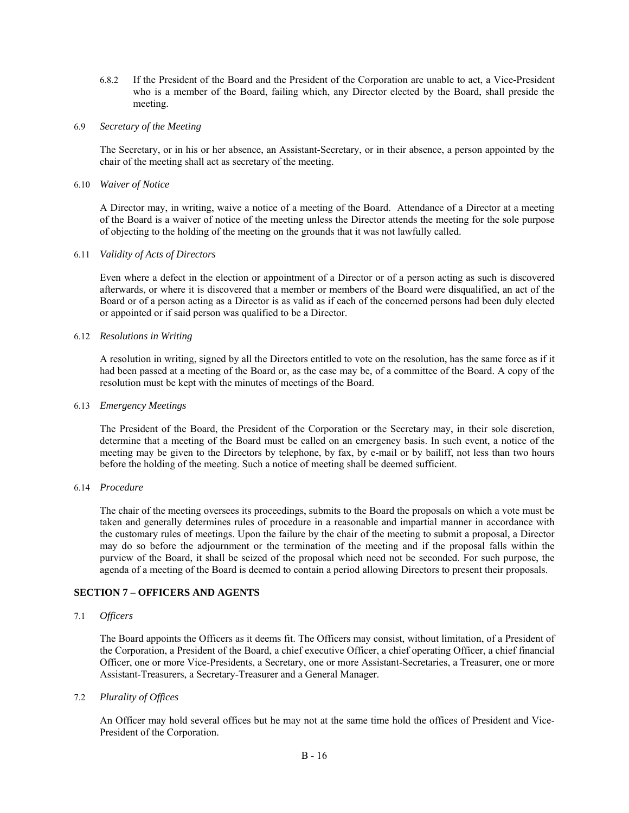- 6.8.2 If the President of the Board and the President of the Corporation are unable to act, a Vice-President who is a member of the Board, failing which, any Director elected by the Board, shall preside the meeting.
- 6.9 *Secretary of the Meeting*

The Secretary, or in his or her absence, an Assistant-Secretary, or in their absence, a person appointed by the chair of the meeting shall act as secretary of the meeting.

6.10 *Waiver of Notice* 

A Director may, in writing, waive a notice of a meeting of the Board. Attendance of a Director at a meeting of the Board is a waiver of notice of the meeting unless the Director attends the meeting for the sole purpose of objecting to the holding of the meeting on the grounds that it was not lawfully called.

#### 6.11 *Validity of Acts of Directors*

Even where a defect in the election or appointment of a Director or of a person acting as such is discovered afterwards, or where it is discovered that a member or members of the Board were disqualified, an act of the Board or of a person acting as a Director is as valid as if each of the concerned persons had been duly elected or appointed or if said person was qualified to be a Director.

#### 6.12 *Resolutions in Writing*

A resolution in writing, signed by all the Directors entitled to vote on the resolution, has the same force as if it had been passed at a meeting of the Board or, as the case may be, of a committee of the Board. A copy of the resolution must be kept with the minutes of meetings of the Board.

#### 6.13 *Emergency Meetings*

The President of the Board, the President of the Corporation or the Secretary may, in their sole discretion, determine that a meeting of the Board must be called on an emergency basis. In such event, a notice of the meeting may be given to the Directors by telephone, by fax, by e-mail or by bailiff, not less than two hours before the holding of the meeting. Such a notice of meeting shall be deemed sufficient.

#### 6.14 *Procedure*

The chair of the meeting oversees its proceedings, submits to the Board the proposals on which a vote must be taken and generally determines rules of procedure in a reasonable and impartial manner in accordance with the customary rules of meetings. Upon the failure by the chair of the meeting to submit a proposal, a Director may do so before the adjournment or the termination of the meeting and if the proposal falls within the purview of the Board, it shall be seized of the proposal which need not be seconded. For such purpose, the agenda of a meeting of the Board is deemed to contain a period allowing Directors to present their proposals.

# **SECTION 7 – OFFICERS AND AGENTS**

#### 7.1 *Officers*

The Board appoints the Officers as it deems fit. The Officers may consist, without limitation, of a President of the Corporation, a President of the Board, a chief executive Officer, a chief operating Officer, a chief financial Officer, one or more Vice-Presidents, a Secretary, one or more Assistant-Secretaries, a Treasurer, one or more Assistant-Treasurers, a Secretary-Treasurer and a General Manager.

#### 7.2 *Plurality of Offices*

An Officer may hold several offices but he may not at the same time hold the offices of President and Vice-President of the Corporation.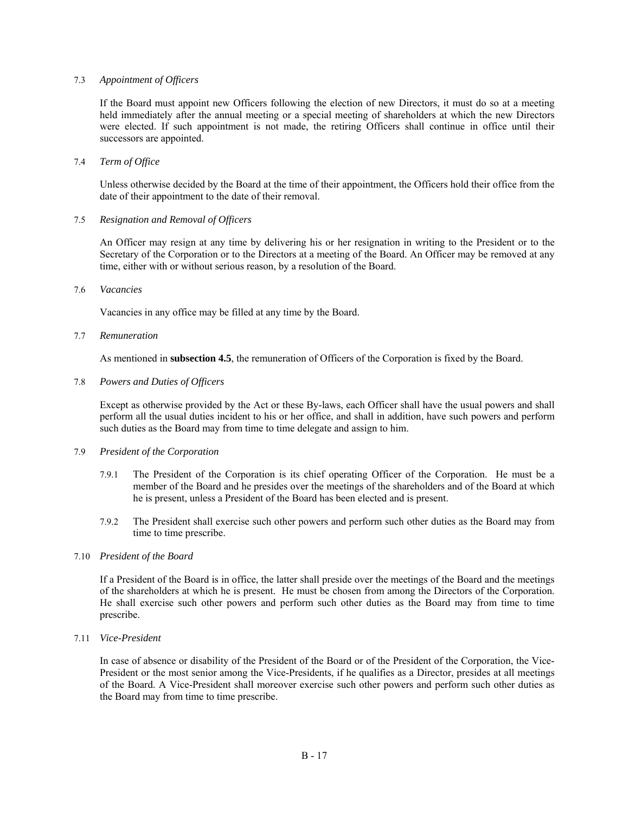#### 7.3 *Appointment of Officers*

If the Board must appoint new Officers following the election of new Directors, it must do so at a meeting held immediately after the annual meeting or a special meeting of shareholders at which the new Directors were elected. If such appointment is not made, the retiring Officers shall continue in office until their successors are appointed.

#### 7.4 *Term of Office*

Unless otherwise decided by the Board at the time of their appointment, the Officers hold their office from the date of their appointment to the date of their removal.

#### 7.5 *Resignation and Removal of Officers*

An Officer may resign at any time by delivering his or her resignation in writing to the President or to the Secretary of the Corporation or to the Directors at a meeting of the Board. An Officer may be removed at any time, either with or without serious reason, by a resolution of the Board.

#### 7.6 *Vacancies*

Vacancies in any office may be filled at any time by the Board.

#### 7.7 *Remuneration*

As mentioned in **subsection 4.5**, the remuneration of Officers of the Corporation is fixed by the Board.

#### 7.8 *Powers and Duties of Officers*

Except as otherwise provided by the Act or these By-laws, each Officer shall have the usual powers and shall perform all the usual duties incident to his or her office, and shall in addition, have such powers and perform such duties as the Board may from time to time delegate and assign to him.

#### 7.9 *President of the Corporation*

- 7.9.1 The President of the Corporation is its chief operating Officer of the Corporation. He must be a member of the Board and he presides over the meetings of the shareholders and of the Board at which he is present, unless a President of the Board has been elected and is present.
- 7.9.2 The President shall exercise such other powers and perform such other duties as the Board may from time to time prescribe.

#### 7.10 *President of the Board*

If a President of the Board is in office, the latter shall preside over the meetings of the Board and the meetings of the shareholders at which he is present. He must be chosen from among the Directors of the Corporation. He shall exercise such other powers and perform such other duties as the Board may from time to time prescribe.

#### 7.11 *Vice-President*

In case of absence or disability of the President of the Board or of the President of the Corporation, the Vice-President or the most senior among the Vice-Presidents, if he qualifies as a Director, presides at all meetings of the Board. A Vice-President shall moreover exercise such other powers and perform such other duties as the Board may from time to time prescribe.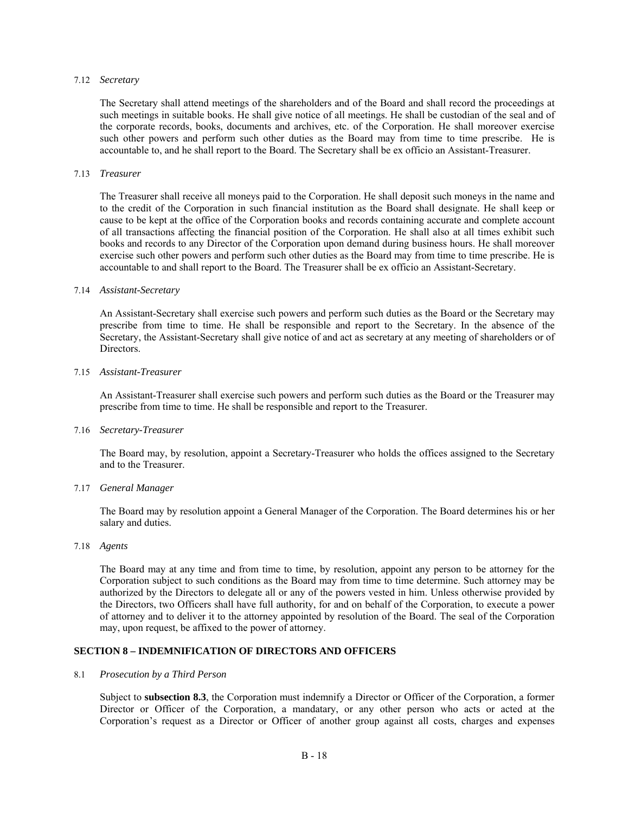#### 7.12 *Secretary*

The Secretary shall attend meetings of the shareholders and of the Board and shall record the proceedings at such meetings in suitable books. He shall give notice of all meetings. He shall be custodian of the seal and of the corporate records, books, documents and archives, etc. of the Corporation. He shall moreover exercise such other powers and perform such other duties as the Board may from time to time prescribe. He is accountable to, and he shall report to the Board. The Secretary shall be ex officio an Assistant-Treasurer.

#### 7.13 *Treasurer*

The Treasurer shall receive all moneys paid to the Corporation. He shall deposit such moneys in the name and to the credit of the Corporation in such financial institution as the Board shall designate. He shall keep or cause to be kept at the office of the Corporation books and records containing accurate and complete account of all transactions affecting the financial position of the Corporation. He shall also at all times exhibit such books and records to any Director of the Corporation upon demand during business hours. He shall moreover exercise such other powers and perform such other duties as the Board may from time to time prescribe. He is accountable to and shall report to the Board. The Treasurer shall be ex officio an Assistant-Secretary.

#### 7.14 *Assistant-Secretary*

An Assistant-Secretary shall exercise such powers and perform such duties as the Board or the Secretary may prescribe from time to time. He shall be responsible and report to the Secretary. In the absence of the Secretary, the Assistant-Secretary shall give notice of and act as secretary at any meeting of shareholders or of Directors.

#### 7.15 *Assistant-Treasurer*

An Assistant-Treasurer shall exercise such powers and perform such duties as the Board or the Treasurer may prescribe from time to time. He shall be responsible and report to the Treasurer.

#### 7.16 *Secretary-Treasurer*

The Board may, by resolution, appoint a Secretary-Treasurer who holds the offices assigned to the Secretary and to the Treasurer.

#### 7.17 *General Manager*

The Board may by resolution appoint a General Manager of the Corporation. The Board determines his or her salary and duties.

#### 7.18 *Agents*

The Board may at any time and from time to time, by resolution, appoint any person to be attorney for the Corporation subject to such conditions as the Board may from time to time determine. Such attorney may be authorized by the Directors to delegate all or any of the powers vested in him. Unless otherwise provided by the Directors, two Officers shall have full authority, for and on behalf of the Corporation, to execute a power of attorney and to deliver it to the attorney appointed by resolution of the Board. The seal of the Corporation may, upon request, be affixed to the power of attorney.

#### **SECTION 8 – INDEMNIFICATION OF DIRECTORS AND OFFICERS**

#### 8.1 *Prosecution by a Third Person*

Subject to **subsection 8.3**, the Corporation must indemnify a Director or Officer of the Corporation, a former Director or Officer of the Corporation, a mandatary, or any other person who acts or acted at the Corporation's request as a Director or Officer of another group against all costs, charges and expenses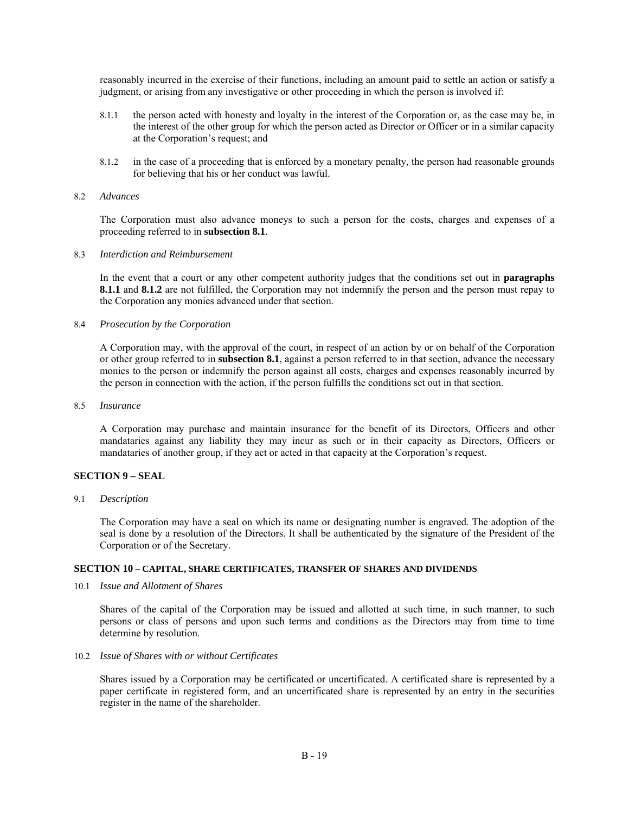reasonably incurred in the exercise of their functions, including an amount paid to settle an action or satisfy a judgment, or arising from any investigative or other proceeding in which the person is involved if:

- 8.1.1 the person acted with honesty and loyalty in the interest of the Corporation or, as the case may be, in the interest of the other group for which the person acted as Director or Officer or in a similar capacity at the Corporation's request; and
- 8.1.2 in the case of a proceeding that is enforced by a monetary penalty, the person had reasonable grounds for believing that his or her conduct was lawful.

#### 8.2 *Advances*

The Corporation must also advance moneys to such a person for the costs, charges and expenses of a proceeding referred to in **subsection 8.1**.

#### 8.3 *Interdiction and Reimbursement*

In the event that a court or any other competent authority judges that the conditions set out in **paragraphs 8.1.1** and **8.1.2** are not fulfilled, the Corporation may not indemnify the person and the person must repay to the Corporation any monies advanced under that section.

#### 8.4 *Prosecution by the Corporation*

A Corporation may, with the approval of the court, in respect of an action by or on behalf of the Corporation or other group referred to in **subsection 8.1**, against a person referred to in that section, advance the necessary monies to the person or indemnify the person against all costs, charges and expenses reasonably incurred by the person in connection with the action, if the person fulfills the conditions set out in that section.

#### 8.5 *Insurance*

A Corporation may purchase and maintain insurance for the benefit of its Directors, Officers and other mandataries against any liability they may incur as such or in their capacity as Directors, Officers or mandataries of another group, if they act or acted in that capacity at the Corporation's request.

#### **SECTION 9 – SEAL**

9.1 *Description* 

The Corporation may have a seal on which its name or designating number is engraved. The adoption of the seal is done by a resolution of the Directors. It shall be authenticated by the signature of the President of the Corporation or of the Secretary.

#### **SECTION 10 – CAPITAL, SHARE CERTIFICATES, TRANSFER OF SHARES AND DIVIDENDS**

10.1 *Issue and Allotment of Shares* 

Shares of the capital of the Corporation may be issued and allotted at such time, in such manner, to such persons or class of persons and upon such terms and conditions as the Directors may from time to time determine by resolution.

#### 10.2 *Issue of Shares with or without Certificates*

Shares issued by a Corporation may be certificated or uncertificated. A certificated share is represented by a paper certificate in registered form, and an uncertificated share is represented by an entry in the securities register in the name of the shareholder.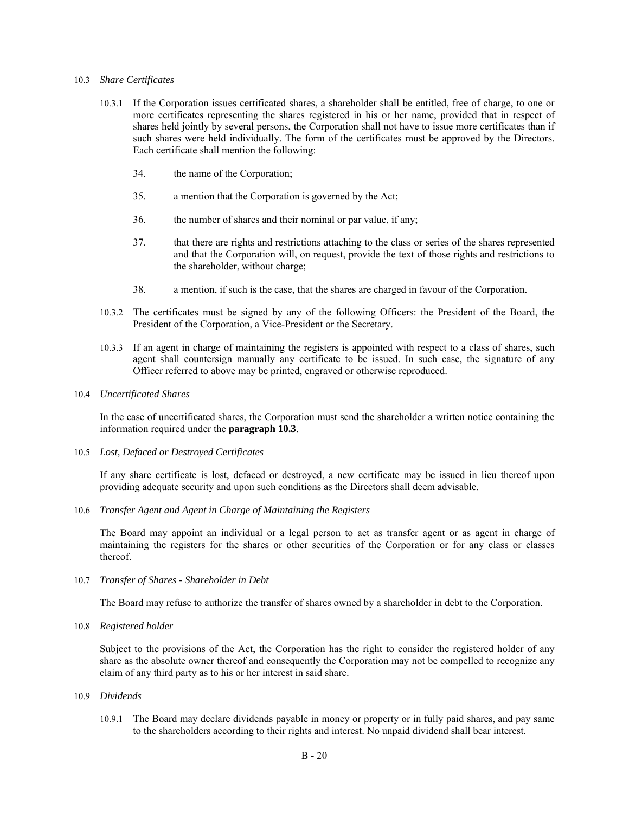#### 10.3 *Share Certificates*

- 10.3.1 If the Corporation issues certificated shares, a shareholder shall be entitled, free of charge, to one or more certificates representing the shares registered in his or her name, provided that in respect of shares held jointly by several persons, the Corporation shall not have to issue more certificates than if such shares were held individually. The form of the certificates must be approved by the Directors. Each certificate shall mention the following:
	- 34. the name of the Corporation;
	- 35. a mention that the Corporation is governed by the Act;
	- 36. the number of shares and their nominal or par value, if any;
	- 37. that there are rights and restrictions attaching to the class or series of the shares represented and that the Corporation will, on request, provide the text of those rights and restrictions to the shareholder, without charge;
	- 38. a mention, if such is the case, that the shares are charged in favour of the Corporation.
- 10.3.2 The certificates must be signed by any of the following Officers: the President of the Board, the President of the Corporation, a Vice-President or the Secretary.
- 10.3.3 If an agent in charge of maintaining the registers is appointed with respect to a class of shares, such agent shall countersign manually any certificate to be issued. In such case, the signature of any Officer referred to above may be printed, engraved or otherwise reproduced.
- 10.4 *Uncertificated Shares*

In the case of uncertificated shares, the Corporation must send the shareholder a written notice containing the information required under the **paragraph 10.3**.

10.5 *Lost, Defaced or Destroyed Certificates* 

If any share certificate is lost, defaced or destroyed, a new certificate may be issued in lieu thereof upon providing adequate security and upon such conditions as the Directors shall deem advisable.

10.6 *Transfer Agent and Agent in Charge of Maintaining the Registers* 

The Board may appoint an individual or a legal person to act as transfer agent or as agent in charge of maintaining the registers for the shares or other securities of the Corporation or for any class or classes thereof.

10.7 *Transfer of Shares - Shareholder in Debt* 

The Board may refuse to authorize the transfer of shares owned by a shareholder in debt to the Corporation.

10.8 *Registered holder* 

Subject to the provisions of the Act, the Corporation has the right to consider the registered holder of any share as the absolute owner thereof and consequently the Corporation may not be compelled to recognize any claim of any third party as to his or her interest in said share.

- 10.9 *Dividends* 
	- 10.9.1 The Board may declare dividends payable in money or property or in fully paid shares, and pay same to the shareholders according to their rights and interest. No unpaid dividend shall bear interest.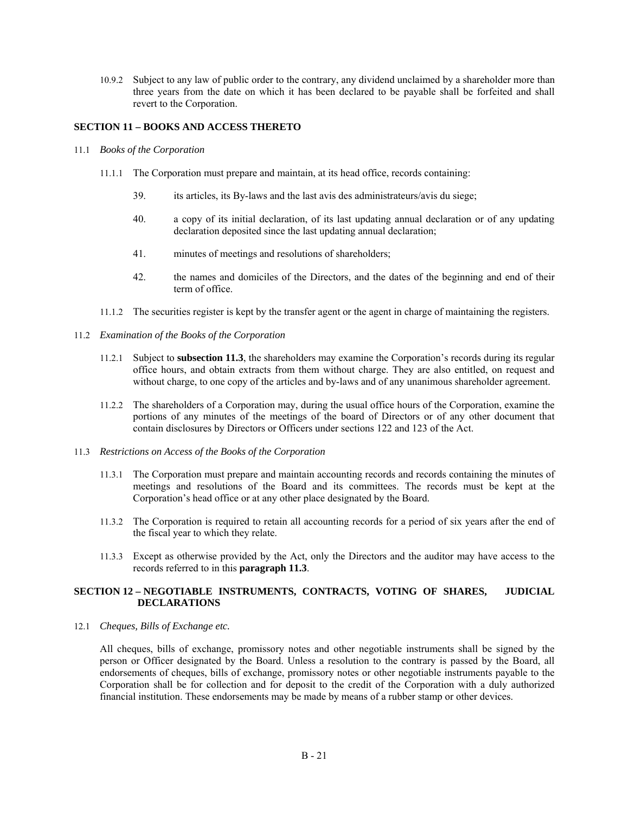10.9.2 Subject to any law of public order to the contrary, any dividend unclaimed by a shareholder more than three years from the date on which it has been declared to be payable shall be forfeited and shall revert to the Corporation.

### **SECTION 11 – BOOKS AND ACCESS THERETO**

- 11.1 *Books of the Corporation* 
	- 11.1.1 The Corporation must prepare and maintain, at its head office, records containing:
		- 39. its articles, its By-laws and the last avis des administrateurs/avis du siege;
		- 40. a copy of its initial declaration, of its last updating annual declaration or of any updating declaration deposited since the last updating annual declaration;
		- 41. minutes of meetings and resolutions of shareholders;
		- 42. the names and domiciles of the Directors, and the dates of the beginning and end of their term of office.
	- 11.1.2 The securities register is kept by the transfer agent or the agent in charge of maintaining the registers.
- 11.2 *Examination of the Books of the Corporation* 
	- 11.2.1 Subject to **subsection 11.3**, the shareholders may examine the Corporation's records during its regular office hours, and obtain extracts from them without charge. They are also entitled, on request and without charge, to one copy of the articles and by-laws and of any unanimous shareholder agreement.
	- 11.2.2 The shareholders of a Corporation may, during the usual office hours of the Corporation, examine the portions of any minutes of the meetings of the board of Directors or of any other document that contain disclosures by Directors or Officers under sections 122 and 123 of the Act.
- 11.3 *Restrictions on Access of the Books of the Corporation* 
	- 11.3.1 The Corporation must prepare and maintain accounting records and records containing the minutes of meetings and resolutions of the Board and its committees. The records must be kept at the Corporation's head office or at any other place designated by the Board.
	- 11.3.2 The Corporation is required to retain all accounting records for a period of six years after the end of the fiscal year to which they relate.
	- 11.3.3 Except as otherwise provided by the Act, only the Directors and the auditor may have access to the records referred to in this **paragraph 11.3**.

### **SECTION 12 – NEGOTIABLE INSTRUMENTS, CONTRACTS, VOTING OF SHARES, JUDICIAL DECLARATIONS**

12.1 *Cheques, Bills of Exchange etc.* 

All cheques, bills of exchange, promissory notes and other negotiable instruments shall be signed by the person or Officer designated by the Board. Unless a resolution to the contrary is passed by the Board, all endorsements of cheques, bills of exchange, promissory notes or other negotiable instruments payable to the Corporation shall be for collection and for deposit to the credit of the Corporation with a duly authorized financial institution. These endorsements may be made by means of a rubber stamp or other devices.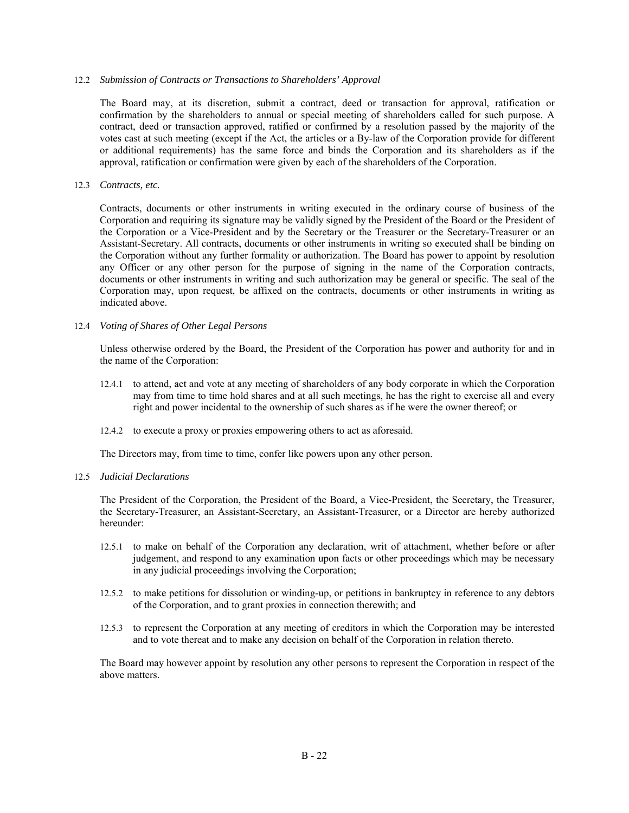#### 12.2 *Submission of Contracts or Transactions to Shareholders' Approval*

The Board may, at its discretion, submit a contract, deed or transaction for approval, ratification or confirmation by the shareholders to annual or special meeting of shareholders called for such purpose. A contract, deed or transaction approved, ratified or confirmed by a resolution passed by the majority of the votes cast at such meeting (except if the Act, the articles or a By-law of the Corporation provide for different or additional requirements) has the same force and binds the Corporation and its shareholders as if the approval, ratification or confirmation were given by each of the shareholders of the Corporation.

### 12.3 *Contracts, etc.*

Contracts, documents or other instruments in writing executed in the ordinary course of business of the Corporation and requiring its signature may be validly signed by the President of the Board or the President of the Corporation or a Vice-President and by the Secretary or the Treasurer or the Secretary-Treasurer or an Assistant-Secretary. All contracts, documents or other instruments in writing so executed shall be binding on the Corporation without any further formality or authorization. The Board has power to appoint by resolution any Officer or any other person for the purpose of signing in the name of the Corporation contracts, documents or other instruments in writing and such authorization may be general or specific. The seal of the Corporation may, upon request, be affixed on the contracts, documents or other instruments in writing as indicated above.

#### 12.4 *Voting of Shares of Other Legal Persons*

Unless otherwise ordered by the Board, the President of the Corporation has power and authority for and in the name of the Corporation:

- 12.4.1 to attend, act and vote at any meeting of shareholders of any body corporate in which the Corporation may from time to time hold shares and at all such meetings, he has the right to exercise all and every right and power incidental to the ownership of such shares as if he were the owner thereof; or
- 12.4.2 to execute a proxy or proxies empowering others to act as aforesaid.

The Directors may, from time to time, confer like powers upon any other person.

#### 12.5 *Judicial Declarations*

The President of the Corporation, the President of the Board, a Vice-President, the Secretary, the Treasurer, the Secretary-Treasurer, an Assistant-Secretary, an Assistant-Treasurer, or a Director are hereby authorized hereunder:

- 12.5.1 to make on behalf of the Corporation any declaration, writ of attachment, whether before or after judgement, and respond to any examination upon facts or other proceedings which may be necessary in any judicial proceedings involving the Corporation;
- 12.5.2 to make petitions for dissolution or winding-up, or petitions in bankruptcy in reference to any debtors of the Corporation, and to grant proxies in connection therewith; and
- 12.5.3 to represent the Corporation at any meeting of creditors in which the Corporation may be interested and to vote thereat and to make any decision on behalf of the Corporation in relation thereto.

The Board may however appoint by resolution any other persons to represent the Corporation in respect of the above matters.